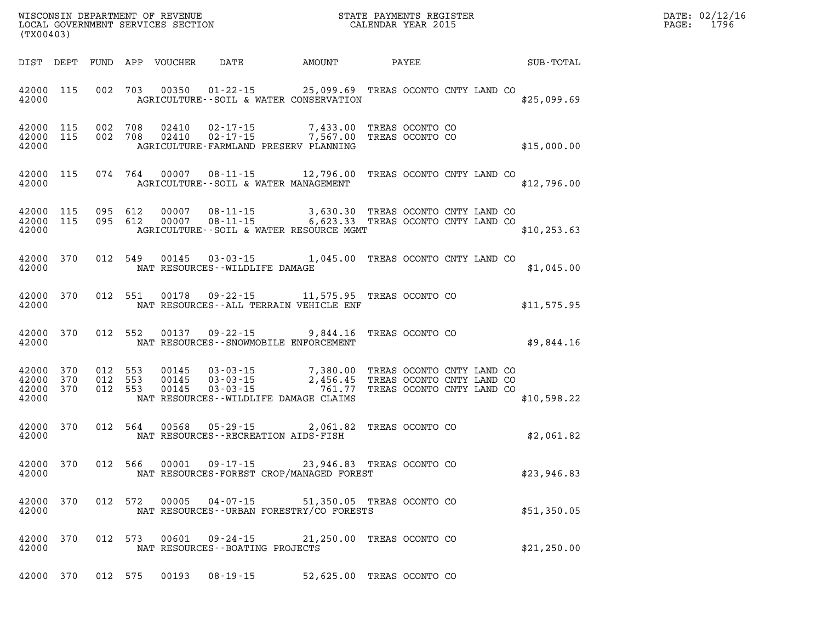| (TX00403) |  |  |                                                                                                                                                                                                                                                                                                                                                                                  |                                     |  |              |  | DATE: 02/12/16<br>PAGE: 1796 |
|-----------|--|--|----------------------------------------------------------------------------------------------------------------------------------------------------------------------------------------------------------------------------------------------------------------------------------------------------------------------------------------------------------------------------------|-------------------------------------|--|--------------|--|------------------------------|
|           |  |  | DIST DEPT FUND APP VOUCHER DATE AMOUNT PAYEE SUB-TOTAL                                                                                                                                                                                                                                                                                                                           |                                     |  |              |  |                              |
|           |  |  | 42000 115 002 703 00350 01-22-15 25,099.69 TREAS OCONTO CNTY LAND CO<br>42000 <b>AGRICULTURE--SOIL &amp; WATER CONSERVATION</b>                                                                                                                                                                                                                                                  |                                     |  | \$25,099.69  |  |                              |
| 42000     |  |  | 42000 115 002 708 02410 02-17-15 7,433.00 TREAS OCONTO CO 42000 115 002 708 02410 02-17-15 7,567.00 TREAS OCONTO CO<br>AGRICULTURE-FARMLAND PRESERV PLANNING                                                                                                                                                                                                                     |                                     |  | \$15,000.00  |  |                              |
|           |  |  | 42000 115 074 764 00007 08-11-15 12,796.00 TREAS OCONTO CNTY LAND CO<br>42000 AGRICULTURE - SOIL & WATER MANAGEMENT                                                                                                                                                                                                                                                              |                                     |  | \$12,796.00  |  |                              |
| 42000     |  |  | $42000$ 115 095 612 00007 08-11-15 3,630.30 TREAS OCONTO CNTY LAND CO<br>$42000$ 115 095 612 00007 08-11-15 6,623.33 TREAS OCONTO CNTY LAND CO<br>AGRICULTURE--SOIL & WATER RESOURCE MGMT                                                                                                                                                                                        |                                     |  | \$10, 253.63 |  |                              |
|           |  |  | 42000 370 012 549 00145 03-03-15 1,045.00 TREAS OCONTO CNTY LAND CO<br>42000 MAT RESOURCES - WILDLIFE DAMAGE                                                                                                                                                                                                                                                                     |                                     |  | \$1,045.00   |  |                              |
|           |  |  | 42000 370 012 551 00178 09-22-15 11,575.95 TREAS OCONTO CO<br>42000 MAT RESOURCES--ALL TERRAIN VEHICLE ENF                                                                                                                                                                                                                                                                       |                                     |  | \$11,575.95  |  |                              |
|           |  |  | 42000 370 012 552 00137 09-22-15 9,844.16 TREAS OCONTO CO<br>42000 NAT RESOURCES - SNOWMOBILE ENFORCEMENT                                                                                                                                                                                                                                                                        | and the contract of the contract of |  | \$9,844.16   |  |                              |
| 42000     |  |  | $\begin{array}{cccccccc} 42000& 370& 012& 553& 00145& 03\cdot 03\cdot 15& 7\,, 380\,.00& \text{TREAS OCONTO CNYY LAND CO}\\ 42000& 370& 012& 553& 00145& 03\cdot 03\cdot 15& 2\,, 456\,.45& \text{TREAS OCONTO CNYY LAND CO}\\ 42000& 370& 012& 553& 00145& 03\cdot 03\cdot 15& 761\,.77& \text{TREAS OCONTO CNYY LAND CO} \end{array}$<br>NAT RESOURCES--WILDLIFE DAMAGE CLAIMS |                                     |  | \$10,598.22  |  |                              |
|           |  |  | 42000 370 012 564 00568 05-29-15 2,061.82 TREAS OCONTO CO<br>NAT RESOURCES--RECREATION AIDS-FISH                                                                                                                                                                                                                                                                                 |                                     |  | \$2,061.82   |  |                              |
| 42000     |  |  | 42000 370 012 566 00001 09-17-15 23,946.83 TREAS OCONTO CO<br>NAT RESOURCES-FOREST CROP/MANAGED FOREST                                                                                                                                                                                                                                                                           |                                     |  | \$23,946.83  |  |                              |
|           |  |  | 42000 370 012 572 00005 04-07-15 51,350.05 TREAS OCONTO CO<br>42000 MAT RESOURCES--URBAN FORESTRY/CO FORESTS                                                                                                                                                                                                                                                                     |                                     |  | \$51,350.05  |  |                              |

**42000 370 012 573 00601 09-24-15 21,250.00 TREAS OCONTO CO 42000 NAT RESOURCES--BOATING PROJECTS \$21,250.00** 

**42000 370 012 575 00193 08-19-15 52,625.00 TREAS OCONTO CO**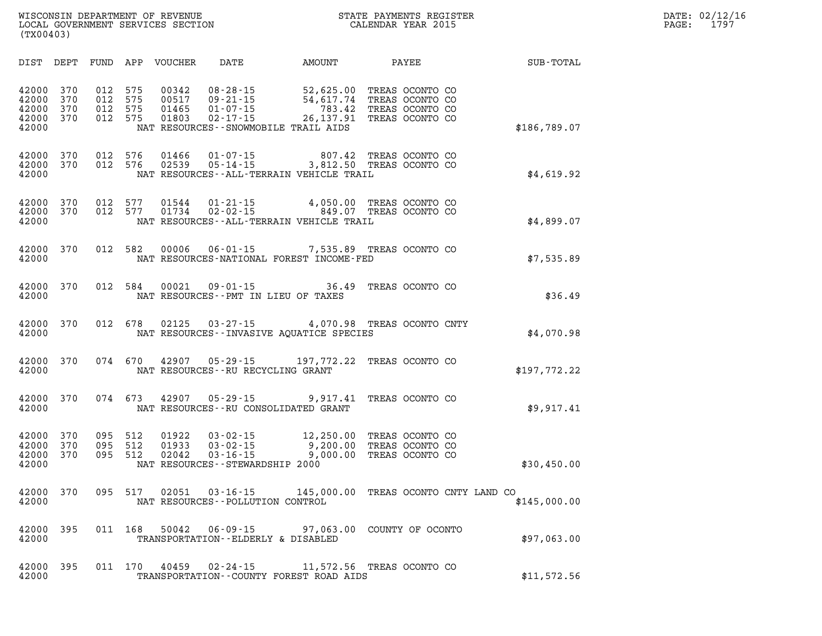| DIST                                      | DEPT                     | FUND                     | APP<br><b>VOUCHER</b>                                        | DATE                                                                                     | <b>AMOUNT</b>                                                                            | PAYEE                                                                    | SUB-TOTAL    |
|-------------------------------------------|--------------------------|--------------------------|--------------------------------------------------------------|------------------------------------------------------------------------------------------|------------------------------------------------------------------------------------------|--------------------------------------------------------------------------|--------------|
| 42000<br>42000<br>42000<br>42000<br>42000 | 370<br>370<br>370<br>370 | 012<br>012<br>012<br>012 | 575<br>00342<br>575<br>00517<br>575<br>01465<br>575<br>01803 | $08 - 28 - 15$<br>$09 - 21 - 15$<br>$01 - 07 - 15$<br>$02 - 17 - 15$                     | 52,625.00<br>54,617.74<br>783.42<br>26,137.91<br>NAT RESOURCES - - SNOWMOBILE TRAIL AIDS | TREAS OCONTO CO<br>TREAS OCONTO CO<br>TREAS OCONTO CO<br>TREAS OCONTO CO | \$186,789.07 |
| 42000<br>42000<br>42000                   | 370<br>370               | 012<br>012               | 576<br>01466<br>576<br>02539                                 | $01 - 07 - 15$<br>$05 - 14 - 15$                                                         | 807.42<br>3,812.50<br>NAT RESOURCES - - ALL - TERRAIN VEHICLE TRAIL                      | TREAS OCONTO CO<br>TREAS OCONTO CO                                       | \$4,619.92   |
| 42000<br>42000<br>42000                   | 370<br>370               | 012<br>012               | 01544<br>577<br>577<br>01734                                 | $01 - 21 - 15$<br>$01 - 21 - 15$ 4,<br>02 - 02 - 15                                      | 4,050.00<br>849.07<br>NAT RESOURCES - - ALL - TERRAIN VEHICLE TRAIL                      | TREAS OCONTO CO<br>TREAS OCONTO CO                                       | \$4,899.07   |
| 42000<br>42000                            | 370                      | 012                      | 582<br>00006                                                 | $06 - 01 - 15$                                                                           | 7,535.89<br>NAT RESOURCES-NATIONAL FOREST INCOME-FED                                     | TREAS OCONTO CO                                                          | \$7,535.89   |
| 42000<br>42000                            | 370                      | 012                      | 584<br>00021                                                 | $09 - 01 - 15$<br>NAT RESOURCES - PMT IN LIEU OF TAXES                                   | 36.49                                                                                    | TREAS OCONTO CO                                                          | \$36.49      |
| 42000<br>42000                            | 370                      | 012                      | 678<br>02125                                                 | $03 - 27 - 15$                                                                           | 4,070.98<br>NAT RESOURCES - - INVASIVE AQUATICE SPECIES                                  | TREAS OCONTO CNTY                                                        | \$4,070.98   |
| 42000<br>42000                            | 370                      | 074                      | 670<br>42907                                                 | $05 - 29 - 15$<br>NAT RESOURCES - - RU RECYCLING GRANT                                   | 197,772.22                                                                               | TREAS OCONTO CO                                                          | \$197,772.22 |
| 42000<br>42000                            | 370                      | 074                      | 673<br>42907                                                 | $05 - 29 - 15$                                                                           | 9,917.41<br>NAT RESOURCES - - RU CONSOLIDATED GRANT                                      | TREAS OCONTO CO                                                          | \$9,917.41   |
| 42000<br>42000<br>42000<br>42000          | 370<br>370<br>370        | 095<br>095<br>095        | 512<br>01922<br>512<br>01933<br>512<br>02042                 | $03 - 02 - 15$<br>$03 - 02 - 15$<br>$03 - 16 - 15$<br>NAT RESOURCES - - STEWARDSHIP 2000 | 12,250.00<br>9,200.00<br>9,000.00                                                        | TREAS OCONTO CO<br>TREAS OCONTO CO<br>TREAS OCONTO CO                    | \$30,450.00  |
| 42000<br>42000                            | 370                      | 095                      | 517<br>02051                                                 | $03 - 16 - 15$<br>NAT RESOURCES - - POLLUTION CONTROL                                    | 145,000.00                                                                               | TREAS OCONTO CNTY LAND CO                                                | \$145,000.00 |
| 42000<br>42000                            | 395                      | 011                      | 168<br>50042                                                 | $06 - 09 - 15$<br>TRANSPORTATION--ELDERLY & DISABLED                                     | 97,063.00                                                                                | COUNTY OF OCONTO                                                         | \$97,063.00  |
| 42000<br>42000                            | 395                      | 011                      | 170<br>40459                                                 | $02 - 24 - 15$                                                                           | TRANSPORTATION -- COUNTY FOREST ROAD AIDS                                                | 11,572.56 TREAS OCONTO CO                                                | \$11,572.56  |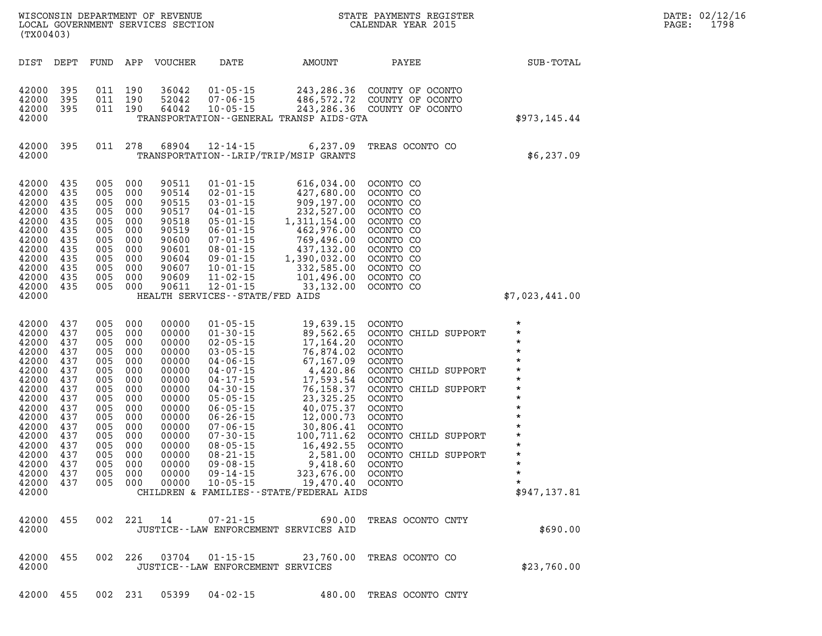| (TX00403)                                                                                                                                                                   |                                                                                                                     |                                                                                                                     |                                                                                                                                | WISCONSIN DEPARTMENT OF REVENUE<br>LOCAL GOVERNMENT SERVICES SECTION                                                                                  |                                                                                                                                                                                                                                                                                                                |                                                                                                                                                                                                                                                                                                           | STATE PAYMENTS REGISTER<br>CALENDAR YEAR 2015                                                                                                                                                                                                                            |                                                                                                                                                                                                                         |
|-----------------------------------------------------------------------------------------------------------------------------------------------------------------------------|---------------------------------------------------------------------------------------------------------------------|---------------------------------------------------------------------------------------------------------------------|--------------------------------------------------------------------------------------------------------------------------------|-------------------------------------------------------------------------------------------------------------------------------------------------------|----------------------------------------------------------------------------------------------------------------------------------------------------------------------------------------------------------------------------------------------------------------------------------------------------------------|-----------------------------------------------------------------------------------------------------------------------------------------------------------------------------------------------------------------------------------------------------------------------------------------------------------|--------------------------------------------------------------------------------------------------------------------------------------------------------------------------------------------------------------------------------------------------------------------------|-------------------------------------------------------------------------------------------------------------------------------------------------------------------------------------------------------------------------|
| DIST                                                                                                                                                                        | DEPT                                                                                                                | FUND                                                                                                                | APP                                                                                                                            | VOUCHER                                                                                                                                               | DATE                                                                                                                                                                                                                                                                                                           | AMOUNT                                                                                                                                                                                                                                                                                                    | PAYEE                                                                                                                                                                                                                                                                    | SUB-TOTAL                                                                                                                                                                                                               |
| 42000<br>42000<br>42000<br>42000                                                                                                                                            | 395<br>395<br>395                                                                                                   | 011<br>011<br>011                                                                                                   | 190<br>190<br>190                                                                                                              | 36042<br>52042<br>64042                                                                                                                               | $01 - 05 - 15$<br>$07 - 06 - 15$<br>$10 - 05 - 15$                                                                                                                                                                                                                                                             | TRANSPORTATION--GENERAL TRANSP AIDS-GTA                                                                                                                                                                                                                                                                   | 243, 286.36 COUNTY OF OCONTO<br>486,572.72 COUNTY OF OCONTO<br>243, 286.36 COUNTY OF OCONTO                                                                                                                                                                              | \$973,145.44                                                                                                                                                                                                            |
| 42000<br>42000                                                                                                                                                              | 395                                                                                                                 | 011                                                                                                                 | 278                                                                                                                            | 68904                                                                                                                                                 | $12 - 14 - 15$<br>TRANSPORTATION--LRIP/TRIP/MSIP GRANTS                                                                                                                                                                                                                                                        | 6,237.09                                                                                                                                                                                                                                                                                                  | TREAS OCONTO CO                                                                                                                                                                                                                                                          | \$6,237.09                                                                                                                                                                                                              |
| 42000<br>42000<br>42000<br>42000<br>42000<br>42000<br>42000<br>42000<br>42000<br>42000<br>42000<br>42000<br>42000                                                           | 435<br>435<br>435<br>435<br>435<br>435<br>435<br>435<br>435<br>435<br>435<br>435                                    | 005<br>005<br>005<br>005<br>005<br>005<br>005<br>005<br>005<br>005<br>005<br>005                                    | 000<br>000<br>000<br>000<br>000<br>000<br>000<br>000<br>000<br>000<br>000<br>000                                               | 90511<br>90514<br>90515<br>90517<br>90518<br>90519<br>90600<br>90601<br>90604<br>90607<br>90609<br>90611                                              | $01 - 01 - 15$<br>$02 - 01 - 15$<br>$03 - 01 - 15$<br>$04 - 01 - 15$<br>$05 - 01 - 15$<br>$06 - 01 - 15$<br>$07 - 01 - 15$<br>$08 - 01 - 15$<br>09-01-15<br>$10 - 01 - 15$<br>$11 - 02 - 15$<br>$12 - 01 - 15$<br>HEALTH SERVICES--STATE/FED AIDS                                                              | 616,034.00<br>427,680.00<br>909,197.00<br>$232,527.00$<br>$1,311,154.00$<br>$462,976.00$<br>$769,496.00$<br>$437,132.00$<br>$1,390,032.00$<br>$332,585.00$<br>1,390,032.00<br>101,496.00<br>33,132.00                                                                                                     | OCONTO CO<br>OCONTO CO<br>OCONTO CO<br>OCONTO CO<br>OCONTO CO<br>OCONTO CO<br>OCONTO CO<br>OCONTO CO<br>OCONTO CO<br>OCONTO CO<br>OCONTO CO<br>OCONTO CO                                                                                                                 | \$7,023,441.00                                                                                                                                                                                                          |
| 42000<br>42000<br>42000<br>42000<br>42000<br>42000<br>42000<br>42000<br>42000<br>42000<br>42000<br>42000<br>42000<br>42000<br>42000<br>42000<br>42000<br>42000 437<br>42000 | 437<br>437<br>437<br>437<br>437<br>437<br>437<br>437<br>437<br>437<br>437<br>437<br>437<br>437<br>437<br>437<br>437 | 005<br>005<br>005<br>005<br>005<br>005<br>005<br>005<br>005<br>005<br>005<br>005<br>005<br>005<br>005<br>005<br>005 | 000<br>000<br>000<br>000<br>000<br>000<br>000<br>000<br>000<br>000<br>000<br>000<br>000<br>000<br>000<br>000<br>000<br>005 000 | 00000<br>00000<br>00000<br>00000<br>00000<br>00000<br>00000<br>00000<br>00000<br>00000<br>00000<br>00000<br>00000<br>00000<br>00000<br>00000<br>00000 | $01 - 05 - 15$<br>$01 - 30 - 15$<br>$02 - 05 - 15$<br>$03 - 05 - 15$<br>$04 - 06 - 15$<br>$04 - 07 - 15$<br>$04 - 17 - 15$<br>$04 - 30 - 15$<br>$05 - 05 - 15$<br>$06 - 05 - 15$<br>$06 - 26 - 15$<br>$07 - 06 - 15$<br>$07 - 30 - 15$<br>$08 - 05 - 15$<br>$08 - 21 - 15$<br>$09 - 08 - 15$<br>$09 - 14 - 15$ | 19,639.15<br>89,562.65<br>17,164.20<br>76,874.02<br>67,167.09<br>4,420.86<br>17,593.54<br>76,158.37<br>23,325.25<br>40,075.37<br>12,000.73<br>30,806.41<br>100,711.62<br>16,492.55<br>2,581.00<br>9,418.60<br>323,676.00<br>00000 10-05-15 19,470.40 OCONTO<br>CHILDREN & FAMILIES - - STATE/FEDERAL AIDS | OCONTO<br>OCONTO CHILD SUPPORT<br><b>OCONTO</b><br>OCONTO<br><b>OCONTO</b><br>OCONTO CHILD SUPPORT<br>OCONTO<br>OCONTO CHILD SUPPORT<br>OCONTO<br>OCONTO<br><b>OCONTO</b><br>OCONTO<br>OCONTO CHILD SUPPORT<br>OCONTO<br>OCONTO CHILD SUPPORT<br><b>OCONTO</b><br>OCONTO | $\star$<br>$\star$<br>$^\star$<br>$\star$<br>$\star$<br>$^\star$<br>$^\star$<br>$\star$<br>$^\star$<br>$\star$<br>$\star$<br>$^\star$<br>$\star$<br>$\star$<br>$\star$<br>$\star$<br>$\star$<br>$\star$<br>\$947,137.81 |
| 42000<br>42000                                                                                                                                                              | 455                                                                                                                 | 002                                                                                                                 | 221                                                                                                                            |                                                                                                                                                       | $07 - 21 - 15$<br>JUSTICE--LAW ENFORCEMENT SERVICES AID                                                                                                                                                                                                                                                        | 690.00                                                                                                                                                                                                                                                                                                    | TREAS OCONTO CNTY                                                                                                                                                                                                                                                        | \$690.00                                                                                                                                                                                                                |
| 42000<br>42000                                                                                                                                                              | 455                                                                                                                 | 002                                                                                                                 | 226                                                                                                                            | 03704                                                                                                                                                 | JUSTICE - - LAW ENFORCEMENT SERVICES                                                                                                                                                                                                                                                                           | $01 - 15 - 15$ 23,760.00                                                                                                                                                                                                                                                                                  | TREAS OCONTO CO                                                                                                                                                                                                                                                          | \$23,760.00                                                                                                                                                                                                             |

**42000 455 002 231 05399 04-02-15 480.00 TREAS OCONTO CNTY** 

**DATE: 02/12/16<br>PAGE: 1798**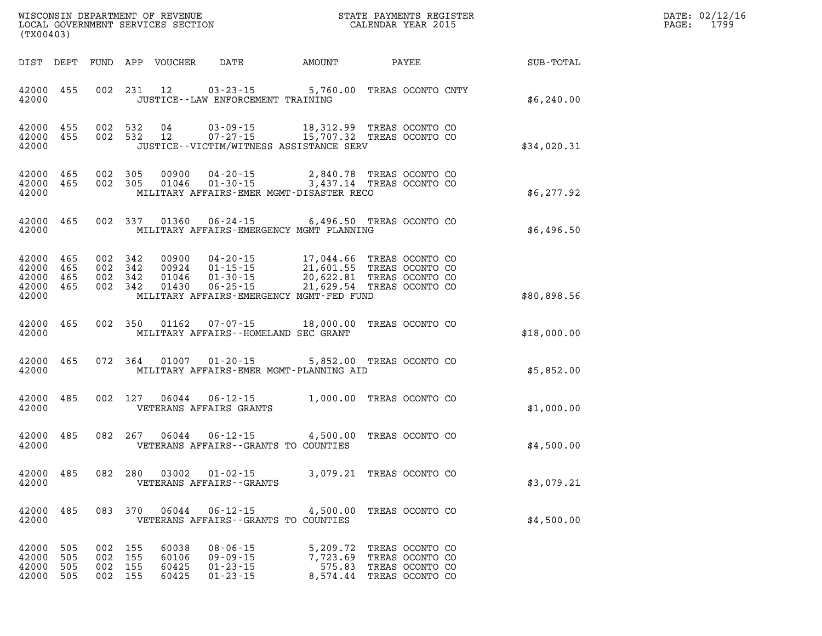| DATE: | 02/12/16 |
|-------|----------|
| PAGE: | 1799     |

| WISCONSIN DEPARTMENT OF REVENUE<br>LOCAL GOVERNMENT SERVICES SECTION<br>CALENDAR YEAR 2015<br>(TX00403) |                               |  |                               |                         |                                                                 |                                                                                                                                                                                                                                                                                                                                                               |                                                       |                                                        | DATE: 02/12/1<br>$\mathtt{PAGE:}$<br>1799 |
|---------------------------------------------------------------------------------------------------------|-------------------------------|--|-------------------------------|-------------------------|-----------------------------------------------------------------|---------------------------------------------------------------------------------------------------------------------------------------------------------------------------------------------------------------------------------------------------------------------------------------------------------------------------------------------------------------|-------------------------------------------------------|--------------------------------------------------------|-------------------------------------------|
|                                                                                                         |                               |  |                               |                         |                                                                 |                                                                                                                                                                                                                                                                                                                                                               |                                                       | DIST DEPT FUND APP VOUCHER DATE AMOUNT PAYEE SUB-TOTAL |                                           |
| 42000                                                                                                   | 42000 455                     |  |                               |                         | JUSTICE -- LAW ENFORCEMENT TRAINING                             | 002 231 12 03-23-15 5,760.00 TREAS OCONTO CNTY                                                                                                                                                                                                                                                                                                                |                                                       | \$6,240.00                                             |                                           |
| 42000                                                                                                   |                               |  |                               |                         |                                                                 | $\begin{array}{cccccc} 42000& 455& 002& 532& 04& 03\cdot 09\cdot 15& 18,312.99 & \text{TREAS OCONTO CO} \\ 42000& 455& 002& 532& 12& 07\cdot 27\cdot 15& 15,707.32 & \text{TREAS OCONTO CO} \end{array}$<br>JUSTICE - VICTIM/WITNESS ASSISTANCE SERV                                                                                                          |                                                       | \$34,020.31                                            |                                           |
| 42000                                                                                                   |                               |  |                               |                         |                                                                 | 42000 465 002 305 00900 04-20-15 2,840.78 TREAS OCONTO CO 42000 465 002 305 01046 01-30-15 3,437.14 TREAS OCONTO CO<br>MILITARY AFFAIRS-EMER MGMT-DISASTER RECO                                                                                                                                                                                               |                                                       | \$6,277.92                                             |                                           |
|                                                                                                         |                               |  |                               |                         |                                                                 | 42000 465 002 337 01360 06-24-15 6,496.50 TREAS OCONTO CO<br>42000 MILITARY AFFAIRS-EMERGENCY MGMT PLANNING                                                                                                                                                                                                                                                   |                                                       | \$6,496.50                                             |                                           |
| 42000                                                                                                   |                               |  |                               |                         |                                                                 | $\begin{tabular}{cccccc} 42000 & 465 & 002 & 342 & 00900 & 04-20-15 & 17,044.66 & \text{TREAS OCONTO CO} \\ 42000 & 465 & 002 & 342 & 00924 & 01-15-15 & 21,601.55 & \text{TREAS OCONTO CO} \\ 42000 & 465 & 002 & 342 & 01046 & 01-30-15 & 20,622.81 & \text{TREAS OCONTO CO} \\ 42000 & 465 & 002 & 342 & 0143$<br>MILITARY AFFAIRS-EMERGENCY MGMT-FED FUND |                                                       | \$80,898.56                                            |                                           |
|                                                                                                         | 42000 465                     |  |                               |                         | 42000 MILITARY AFFAIRS - HOMELAND SEC GRANT                     | 002 350 01162 07-07-15 18,000.00 TREAS OCONTO CO                                                                                                                                                                                                                                                                                                              |                                                       | \$18,000.00                                            |                                           |
|                                                                                                         | 42000 465                     |  |                               |                         |                                                                 | 072 364 01007 01-20-15 5,852.00 TREAS OCONTO CO<br>42000 MILITARY AFFAIRS-EMER MGMT-PLANNING AID                                                                                                                                                                                                                                                              |                                                       | \$5,852.00                                             |                                           |
|                                                                                                         | 42000 485                     |  |                               |                         | 42000 VETERANS AFFAIRS GRANTS                                   | 002 127 06044 06-12-15 1,000.00 TREAS OCONTO CO                                                                                                                                                                                                                                                                                                               |                                                       | \$1,000.00                                             |                                           |
|                                                                                                         | 42000 485                     |  |                               |                         | 42000 VETERANS AFFAIRS - GRANTS TO COUNTIES                     | 082  267  06044  06-12-15  4,500.00  TREAS OCONTO CO                                                                                                                                                                                                                                                                                                          |                                                       | \$4,500.00                                             |                                           |
| 42000                                                                                                   |                               |  |                               |                         | 42000 485 082 280 03002 01-02-15<br>VETERANS AFFAIRS - - GRANTS | 3,079.21 TREAS OCONTO CO                                                                                                                                                                                                                                                                                                                                      |                                                       | \$3,079.21                                             |                                           |
| 42000                                                                                                   | 42000 485                     |  | 083 370                       | 06044                   | $06 - 12 - 15$<br>VETERANS AFFAIRS -- GRANTS TO COUNTIES        | 4,500.00 TREAS OCONTO CO                                                                                                                                                                                                                                                                                                                                      |                                                       | \$4,500.00                                             |                                           |
| 42000                                                                                                   | 505<br>42000 505<br>42000 505 |  | 002 155<br>002 155<br>002 155 | 60038<br>60106<br>60425 | $08 - 06 - 15$<br>$09 - 09 - 15$<br>$01 - 23 - 15$              | 5,209.72<br>7,723.69<br>575.83                                                                                                                                                                                                                                                                                                                                | TREAS OCONTO CO<br>TREAS OCONTO CO<br>TREAS OCONTO CO |                                                        |                                           |

**42000 505 002 155 60425 01-23-15 8,574.44 TREAS OCONTO CO**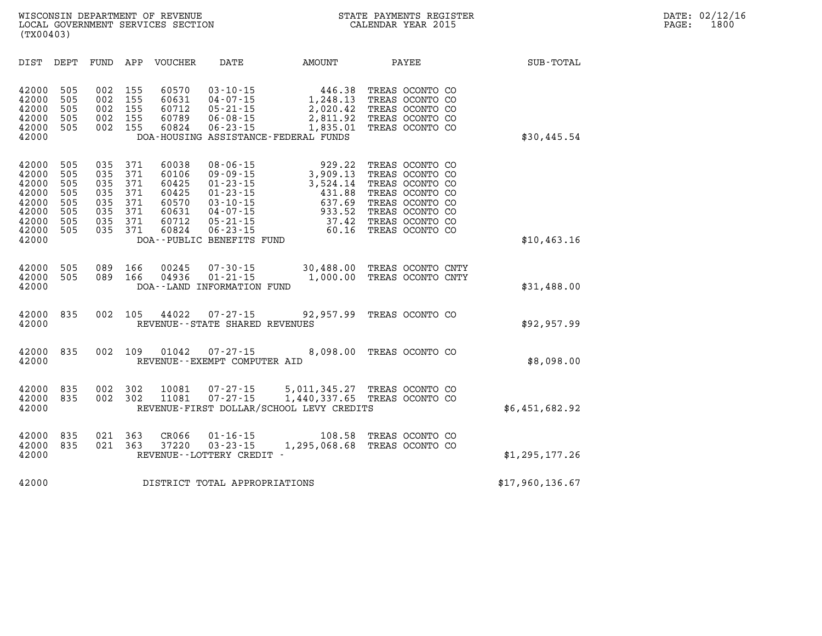| $\mathtt{DATE}$ : | 02/12/16 |
|-------------------|----------|
| PAGE:             | 1800     |

| WISCONSIN DEPARTMENT OF REVENUE   | PAYMENTS REGISTER<br>STATE |       | DATE: 02/12/16 |
|-----------------------------------|----------------------------|-------|----------------|
| LOCAL GOVERNMENT SERVICES SECTION | CALENDAR YEAR 2015         | PAGE. | 1800           |
| (TX00403)                         |                            |       |                |

| DIST                                                                          | DEPT                                                 | FUND                                                 | APP                                                  | VOUCHER                                                              | DATE                                                                                                                                                                      | AMOUNT                                                                                         | PAYEE                                                                                                                                                | SUB-TOTAL       |
|-------------------------------------------------------------------------------|------------------------------------------------------|------------------------------------------------------|------------------------------------------------------|----------------------------------------------------------------------|---------------------------------------------------------------------------------------------------------------------------------------------------------------------------|------------------------------------------------------------------------------------------------|------------------------------------------------------------------------------------------------------------------------------------------------------|-----------------|
| 42000<br>42000<br>42000<br>42000<br>42000<br>42000                            | 505<br>505<br>505<br>505<br>505                      | 002<br>002<br>002<br>002<br>002                      | 155<br>155<br>155<br>155<br>155                      | 60570<br>60631<br>60712<br>60789<br>60824                            | $03 - 10 - 15$<br>$04 - 07 - 15$<br>$05 - 21 - 15$<br>$06 - 08 - 15$<br>$06 - 23 - 15$                                                                                    | 446.38<br>1,248.13<br>2,020.42<br>2,811.92<br>1,835.01<br>DOA-HOUSING ASSISTANCE-FEDERAL FUNDS | TREAS OCONTO CO<br>TREAS OCONTO CO<br>TREAS OCONTO CO<br>TREAS OCONTO CO<br>TREAS OCONTO CO                                                          | \$30,445.54     |
| 42000<br>42000<br>42000<br>42000<br>42000<br>42000<br>42000<br>42000<br>42000 | 505<br>505<br>505<br>505<br>505<br>505<br>505<br>505 | 035<br>035<br>035<br>035<br>035<br>035<br>035<br>035 | 371<br>371<br>371<br>371<br>371<br>371<br>371<br>371 | 60038<br>60106<br>60425<br>60425<br>60570<br>60631<br>60712<br>60824 | $08 - 06 - 15$<br>$09 - 09 - 15$<br>$01 - 23 - 15$<br>$01 - 23 - 15$<br>$03 - 10 - 15$<br>$04 - 07 - 15$<br>$05 - 21 - 15$<br>$06 - 23 - 15$<br>DOA--PUBLIC BENEFITS FUND | 929.22<br>3,909.13<br>3,524.14<br>431.88<br>637.69<br>933.52<br>37.42<br>60.16                 | TREAS OCONTO CO<br>TREAS OCONTO CO<br>TREAS OCONTO CO<br>TREAS OCONTO CO<br>TREAS OCONTO CO<br>TREAS OCONTO CO<br>TREAS OCONTO CO<br>TREAS OCONTO CO | \$10, 463.16    |
| 42000<br>42000<br>42000                                                       | 505<br>505                                           | 089<br>089                                           | 166<br>166                                           | 00245<br>04936                                                       | $07 - 30 - 15$<br>$01 - 21 - 15$<br>DOA--LAND INFORMATION FUND                                                                                                            | 30,488.00<br>1,000.00                                                                          | TREAS OCONTO CNTY<br>TREAS OCONTO CNTY                                                                                                               | \$31,488.00     |
| 42000<br>42000                                                                | 835                                                  | 002                                                  | 105                                                  | 44022                                                                | $07 - 27 - 15$<br>REVENUE - - STATE SHARED REVENUES                                                                                                                       | 92,957.99                                                                                      | TREAS OCONTO CO                                                                                                                                      | \$92,957.99     |
| 42000<br>42000                                                                | 835                                                  | 002                                                  | 109                                                  | 01042                                                                | $07 - 27 - 15$<br>REVENUE - - EXEMPT COMPUTER AID                                                                                                                         | 8,098.00                                                                                       | TREAS OCONTO CO                                                                                                                                      | \$8,098.00      |
| 42000<br>42000<br>42000                                                       | 835<br>835                                           | 002<br>002                                           | 302<br>302                                           | 10081<br>11081                                                       | $07 - 27 - 15$<br>$07 - 27 - 15$                                                                                                                                          | 5,011,345.27<br>1,440,337.65<br>REVENUE-FIRST DOLLAR/SCHOOL LEVY CREDITS                       | TREAS OCONTO CO<br>TREAS OCONTO CO                                                                                                                   | \$6,451,682.92  |
| 42000<br>42000<br>42000                                                       | 835<br>835                                           | 021<br>021                                           | 363<br>363                                           | CR066<br>37220                                                       | $01 - 16 - 15$<br>$03 - 23 - 15$<br>REVENUE--LOTTERY CREDIT -                                                                                                             | 108.58<br>1,295,068.68                                                                         | TREAS OCONTO CO<br>TREAS OCONTO CO                                                                                                                   | \$1,295,177.26  |
| 42000                                                                         |                                                      |                                                      |                                                      |                                                                      | DISTRICT TOTAL APPROPRIATIONS                                                                                                                                             |                                                                                                |                                                                                                                                                      | \$17,960,136.67 |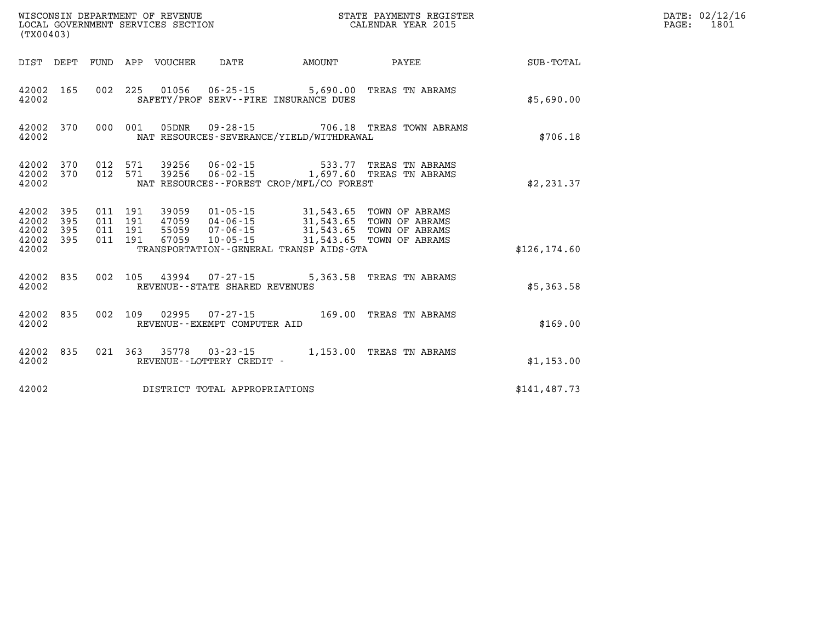| (TX00403)                                     |                   |     |                                          |                                  |                                                          |                                                                                                                                                                                             |                                                 |               | DATE: 02/12/16<br>PAGE:<br>1801 |
|-----------------------------------------------|-------------------|-----|------------------------------------------|----------------------------------|----------------------------------------------------------|---------------------------------------------------------------------------------------------------------------------------------------------------------------------------------------------|-------------------------------------------------|---------------|---------------------------------|
|                                               |                   |     |                                          | DIST DEPT FUND APP VOUCHER       | DATE                                                     | <b>AMOUNT</b>                                                                                                                                                                               | <b>PAYEE</b>                                    | SUB-TOTAL     |                                 |
| 42002 165<br>42002                            |                   |     |                                          |                                  |                                                          | SAFETY/PROF SERV--FIRE INSURANCE DUES                                                                                                                                                       | 002 225 01056 06-25-15 5,690.00 TREAS TN ABRAMS | \$5,690.00    |                                 |
| 42002                                         | 42002 370         |     | 000 001                                  |                                  |                                                          | NAT RESOURCES-SEVERANCE/YIELD/WITHDRAWAL                                                                                                                                                    | 05DNR  09-28-15  706.18 TREAS TOWN ABRAMS       | \$706.18      |                                 |
| 42002<br>42002 370<br>42002                   | 370               | 012 | 012 571                                  |                                  |                                                          | NAT RESOURCES--FOREST CROP/MFL/CO FOREST                                                                                                                                                    |                                                 | \$2,231.37    |                                 |
| 42002<br>42002<br>42002<br>42002 395<br>42002 | 395<br>395<br>395 |     | 011 191<br>011 191<br>011 191<br>011 191 | 39059<br>47059<br>55059<br>67059 |                                                          | 01-05-15 31,543.65 TOWN OF ABRAMS<br>04-06-15 31,543.65 TOWN OF ABRAMS<br>07-06-15 31,543.65 TOWN OF ABRAMS<br>10-05-15 31,543.65 TOWN OF ABRAMS<br>TRANSPORTATION--GENERAL TRANSP AIDS-GTA |                                                 | \$126, 174.60 |                                 |
| 42002 835<br>42002                            |                   |     |                                          |                                  | 002 105 43994 07-27-15<br>REVENUE--STATE SHARED REVENUES |                                                                                                                                                                                             | 5,363.58 TREAS TN ABRAMS                        | \$5,363.58    |                                 |
| 42002 835<br>42002                            |                   |     |                                          |                                  | REVENUE--EXEMPT COMPUTER AID                             |                                                                                                                                                                                             | 002 109 02995 07-27-15 169.00 TREAS TN ABRAMS   | \$169.00      |                                 |
| 42002 835<br>42002                            |                   |     |                                          |                                  | REVENUE - - LOTTERY CREDIT -                             |                                                                                                                                                                                             | 021 363 35778 03-23-15 1,153.00 TREAS TN ABRAMS | \$1,153.00    |                                 |
| 42002                                         |                   |     |                                          |                                  | DISTRICT TOTAL APPROPRIATIONS                            |                                                                                                                                                                                             |                                                 | \$141, 487.73 |                                 |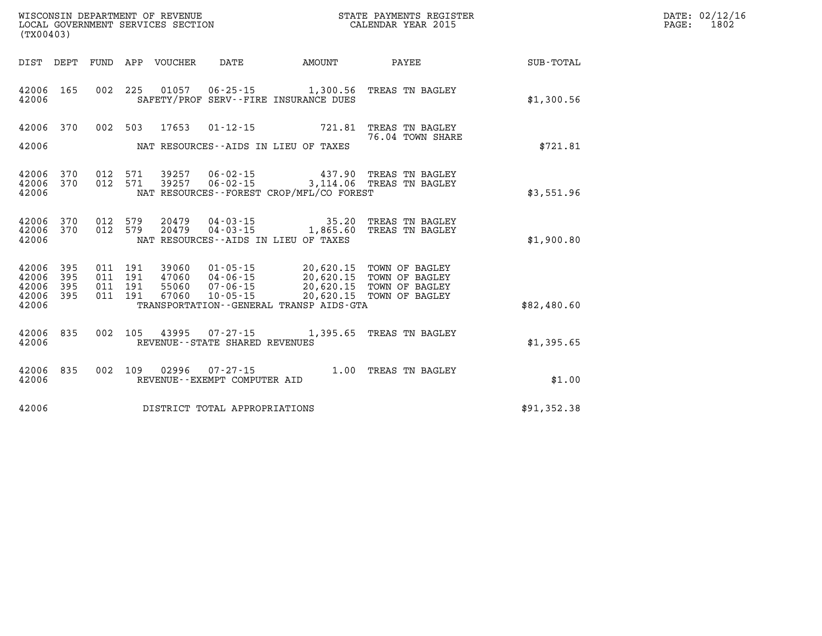| WISCONSIN DEPARTMENT OF REVENUE   | PAYMENTS REGISTER ?<br>STATE | $\mathtt{DATE}$ : | 02/12/16 |
|-----------------------------------|------------------------------|-------------------|----------|
| LOCAL GOVERNMENT SERVICES SECTION | CALENDAR YEAR 2015           | PAGE.             | 1802     |

| (TX00403)                                 |                          |                          |                          |                                  |                                                                      |                                                                                             |                                                                      |                  |
|-------------------------------------------|--------------------------|--------------------------|--------------------------|----------------------------------|----------------------------------------------------------------------|---------------------------------------------------------------------------------------------|----------------------------------------------------------------------|------------------|
| DIST                                      | DEPT                     | FUND                     | APP                      | VOUCHER                          | DATE                                                                 | AMOUNT                                                                                      | PAYEE                                                                | <b>SUB-TOTAL</b> |
| 42006<br>42006                            | 165                      | 002                      | 225                      | 01057                            |                                                                      | $06 - 25 - 15$ 1,300.56<br>SAFETY/PROF SERV--FIRE INSURANCE DUES                            | TREAS TN BAGLEY                                                      | \$1,300.56       |
| 42006<br>42006                            | 370                      | 002                      | 503                      | 17653                            | $01 - 12 - 15$                                                       | 721.81<br>NAT RESOURCES--AIDS IN LIEU OF TAXES                                              | TREAS TN BAGLEY<br>76.04 TOWN SHARE                                  | \$721.81         |
| 42006<br>42006<br>42006                   | 370<br>370               | 012<br>012               | 571<br>571               | 39257<br>39257                   | $06 - 02 - 15$<br>$06 - 02 - 15$                                     | 437.90<br>3,114.06<br>NAT RESOURCES--FOREST CROP/MFL/CO FOREST                              | TREAS TN BAGLEY<br>TREAS TN BAGLEY                                   | \$3,551.96       |
| 42006<br>42006<br>42006                   | 370<br>370               | 012<br>012               | 579<br>579               | 20479<br>20479                   | $04 - 03 - 15$<br>$04 - 03 - 15$                                     | 35.20<br>1,865.60<br>NAT RESOURCES -- AIDS IN LIEU OF TAXES                                 | TREAS TN BAGLEY<br>TREAS TN BAGLEY                                   | \$1,900.80       |
| 42006<br>42006<br>42006<br>42006<br>42006 | 395<br>395<br>395<br>395 | 011<br>011<br>011<br>011 | 191<br>191<br>191<br>191 | 39060<br>47060<br>55060<br>67060 | $01 - 05 - 15$<br>$04 - 06 - 15$<br>$07 - 06 - 15$<br>$10 - 05 - 15$ | 20,620.15<br>20,620.15<br>20,620.15<br>20,620.15<br>TRANSPORTATION--GENERAL TRANSP AIDS-GTA | TOWN OF BAGLEY<br>TOWN OF BAGLEY<br>TOWN OF BAGLEY<br>TOWN OF BAGLEY | \$82,480.60      |
| 42006<br>42006                            | 835                      | 002                      | 105                      | 43995                            | 07-27-15<br>REVENUE - - STATE SHARED REVENUES                        | 1,395.65                                                                                    | TREAS TN BAGLEY                                                      | \$1,395.65       |
| 42006<br>42006                            | 835                      | 002                      | 109                      | 02996                            | $07 - 27 - 15$<br>REVENUE--EXEMPT COMPUTER AID                       | 1.00                                                                                        | TREAS TN BAGLEY                                                      | \$1.00           |
| 42006                                     |                          |                          |                          |                                  | DISTRICT TOTAL APPROPRIATIONS                                        |                                                                                             |                                                                      | \$91,352.38      |

WISCONSIN DEPARTMENT OF REVENUE **STATE PAYMENTS REGISTER**<br>LOCAL GOVERNMENT SERVICES SECTION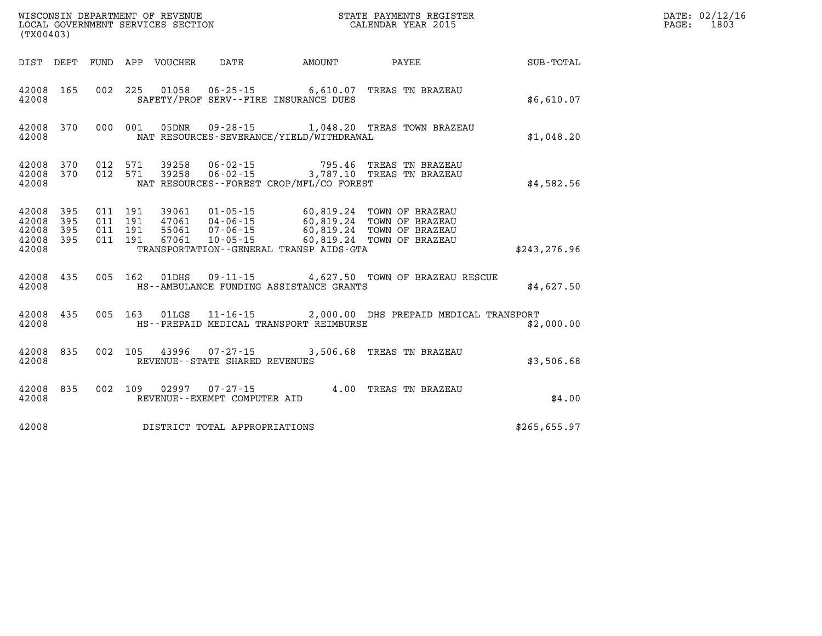| (TX00403)      |                                            |  | WISCONSIN DEPARTMENT OF REVENUE<br>LOCAL GOVERNMENT SERVICES SECTION<br>(TYO0402) |                                             | STATE PAYMENTS REGISTER<br>CALENDAR YEAR 2015                                                                                                                                                                     |                      | DATE: 02/12/16<br>PAGE: 1803 |
|----------------|--------------------------------------------|--|-----------------------------------------------------------------------------------|---------------------------------------------|-------------------------------------------------------------------------------------------------------------------------------------------------------------------------------------------------------------------|----------------------|------------------------------|
|                |                                            |  |                                                                                   | DIST DEPT FUND APP VOUCHER DATE AMOUNT      | PAYEE                                                                                                                                                                                                             | $\texttt{SUB-TOTAL}$ |                              |
| 42008          | 42008 165                                  |  |                                                                                   | SAFETY/PROF SERV--FIRE INSURANCE DUES       | 002 225 01058 06-25-15 6,610.07 TREAS TN BRAZEAU                                                                                                                                                                  | \$6,610.07           |                              |
| 42008          |                                            |  |                                                                                   | NAT RESOURCES-SEVERANCE/YIELD/WITHDRAWAL    | 42008 370 000 001 05DNR 09-28-15 1,048.20 TREAS TOWN BRAZEAU                                                                                                                                                      | \$1,048.20           |                              |
| 42008          |                                            |  |                                                                                   | NAT RESOURCES - - FOREST CROP/MFL/CO FOREST | $\begin{array}{cccccc} 42008 & 370 & 012 & 571 & 39258 & 06-02-15 & & & & 795.46 & \text{TREAS TN BRAZEAU} \\ 42008 & 370 & 012 & 571 & 39258 & 06-02-15 & & & 3,787.10 & \text{TREAS TN BRAZEAU} \end{array}$    | \$4,582.56           |                              |
| 42008<br>42008 | 42008 395<br>395<br>42008 395<br>42008 395 |  |                                                                                   | TRANSPORTATION--GENERAL TRANSP AIDS-GTA     | 011  191  39061  01-05-15  60,819.24  TOWN OF BRAZEAU<br>011 191 27061 04-06-15 60,819.24 TOWN OF BRAZEAU<br>011 191 55061 07-06-15 60,819.24 TOWN OF BRAZEAU<br>011 191 67061 10-05-15 60,819.24 TOWN OF BRAZEAU | \$243, 276.96        |                              |
| 42008          |                                            |  |                                                                                   | HS--AMBULANCE FUNDING ASSISTANCE GRANTS     | 42008 435 005 162 01DHS 09-11-15 4,627.50 TOWN OF BRAZEAU RESCUE                                                                                                                                                  | \$4,627.50           |                              |
| 42008          |                                            |  |                                                                                   | HS--PREPAID MEDICAL TRANSPORT REIMBURSE     | 42008 435 005 163 01LGS 11-16-15 2,000.00 DHS PREPAID MEDICAL TRANSPORT                                                                                                                                           | \$2,000.00           |                              |
| 42008          | 42008 835                                  |  | REVENUE--STATE SHARED REVENUES                                                    |                                             | 002 105 43996 07-27-15 3,506.68 TREAS TN BRAZEAU                                                                                                                                                                  | \$3,506.68           |                              |
| 42008          |                                            |  | REVENUE--EXEMPT COMPUTER AID                                                      |                                             | 42008 835 002 109 02997 07-27-15 4.00 TREAS TN BRAZEAU                                                                                                                                                            | \$4.00               |                              |
| 42008          |                                            |  | DISTRICT TOTAL APPROPRIATIONS                                                     |                                             |                                                                                                                                                                                                                   | \$265,655.97         |                              |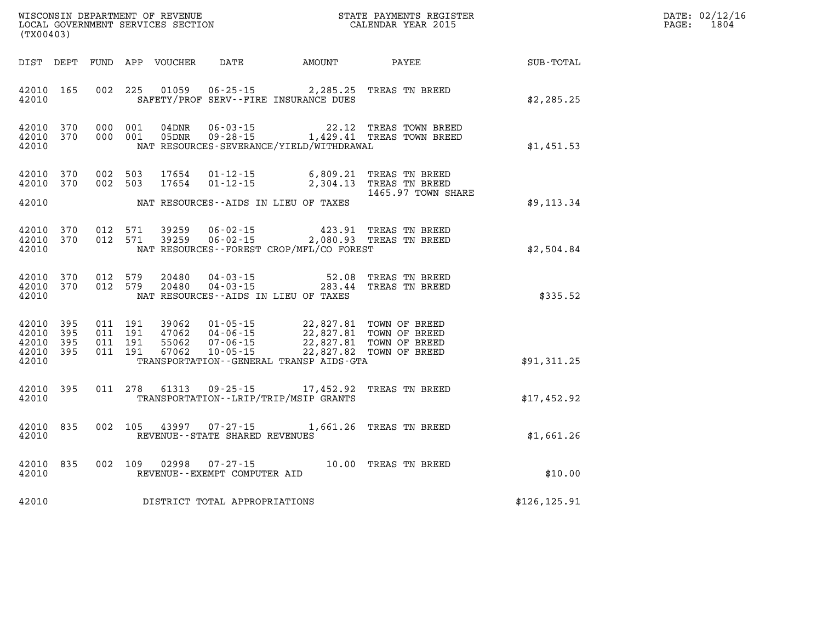| DATE: | 02/12/16 |
|-------|----------|
| PAGE: | 1804     |

| (TX00403)                                                 |           |  |                                       |                                                                                                                                                                                                                                                                                                                               | WISCONSIN DEPARTMENT OF REVENUE<br>LOCAL GOVERNMENT SERVICES SECTION CALENDAR YEAR 2015                              | $\mathbb{R}^n$ | DATE: 02/12/1<br>PAGE: 1804 |
|-----------------------------------------------------------|-----------|--|---------------------------------------|-------------------------------------------------------------------------------------------------------------------------------------------------------------------------------------------------------------------------------------------------------------------------------------------------------------------------------|----------------------------------------------------------------------------------------------------------------------|----------------|-----------------------------|
|                                                           |           |  |                                       |                                                                                                                                                                                                                                                                                                                               | DIST DEPT FUND APP VOUCHER DATE AMOUNT PAYEE TOTAL                                                                   |                |                             |
|                                                           | 42010     |  |                                       | SAFETY/PROF SERV--FIRE INSURANCE DUES                                                                                                                                                                                                                                                                                         | 42010 165 002 225 01059 06-25-15 2,285.25 TREAS TN BREED                                                             | \$2,285.25     |                             |
| 42010                                                     |           |  |                                       | NAT RESOURCES-SEVERANCE/YIELD/WITHDRAWAL                                                                                                                                                                                                                                                                                      | $42010$ 370 000 001 04DNR 06-03-15 22.12 TREAS TOWN BREED 42010 370 000 001 05DNR 09-28-15 1,429.41 TREAS TOWN BREED | \$1,451.53     |                             |
| 42010 370                                                 | 42010 370 |  |                                       | 002 503 17654 01-12-15 6,809.21 TREAS TN BREED<br>002 503 17654 01-12-15 2,304.13 TREAS TN BREED                                                                                                                                                                                                                              |                                                                                                                      |                |                             |
|                                                           |           |  |                                       | 42010 NAT RESOURCES--AIDS IN LIEU OF TAXES                                                                                                                                                                                                                                                                                    | 1465.97 TOWN SHARE                                                                                                   | \$9,113.34     |                             |
| 42010                                                     |           |  |                                       | $42010$ 370 012 571 39259 06-02-15 423.91 TREAS TN BREED<br>42010 370 012 571 39259 06-02-15 2,080.93 TREAS TN BREED<br>NAT RESOURCES--FOREST CROP/MFL/CO FOREST                                                                                                                                                              |                                                                                                                      | \$2,504.84     |                             |
| 42010                                                     |           |  |                                       | NAT RESOURCES - AIDS IN LIEU OF TAXES                                                                                                                                                                                                                                                                                         | $42010$ 370 012 579 20480 04-03-15 52.08 TREAS TN BREED 42010 370 012 579 20480 04-03-15 283.44 TREAS TN BREED       | \$335.52       |                             |
| 42010 395<br>42010 395<br>42010 395<br>42010 395<br>42010 |           |  |                                       | $\begin{tabular}{cccc} 011 & 191 & 39062 & 01-05-15 & 22,827.81 & TOWN OF BREED \\ 011 & 191 & 47062 & 04-06-15 & 22,827.81 & TOWN OF BREED \\ 011 & 191 & 55062 & 07-06-15 & 22,827.81 & TOWN OF BREED \\ 011 & 191 & 67062 & 10-05-15 & 22,827.82 & TOWN OF BREED \end{tabular}$<br>TRANSPORTATION--GENERAL TRANSP AIDS-GTA |                                                                                                                      | \$91,311.25    |                             |
| 42010                                                     |           |  |                                       | 42010 395 011 278 61313 09-25-15 17,452.92 TREAS TN BREED                                                                                                                                                                                                                                                                     | TRANSPORTATION - - LRIP/TRIP/MSIP GRANTS                                                                             | \$17,452.92    |                             |
|                                                           |           |  |                                       | 42010 835 002 105 43997 07-27-15 1,661.26 TREAS TN BREED<br>42010 REVENUE - STATE SHARED REVENUES                                                                                                                                                                                                                             |                                                                                                                      | \$1,661.26     |                             |
|                                                           |           |  | 42010 REVENUE - - EXEMPT COMPUTER AID | 42010 835 002 109 02998 07-27-15 10.00 TREAS TN BREED                                                                                                                                                                                                                                                                         |                                                                                                                      | \$10.00        |                             |
|                                                           |           |  | 42010 DISTRICT TOTAL APPROPRIATIONS   |                                                                                                                                                                                                                                                                                                                               |                                                                                                                      | \$126, 125.91  |                             |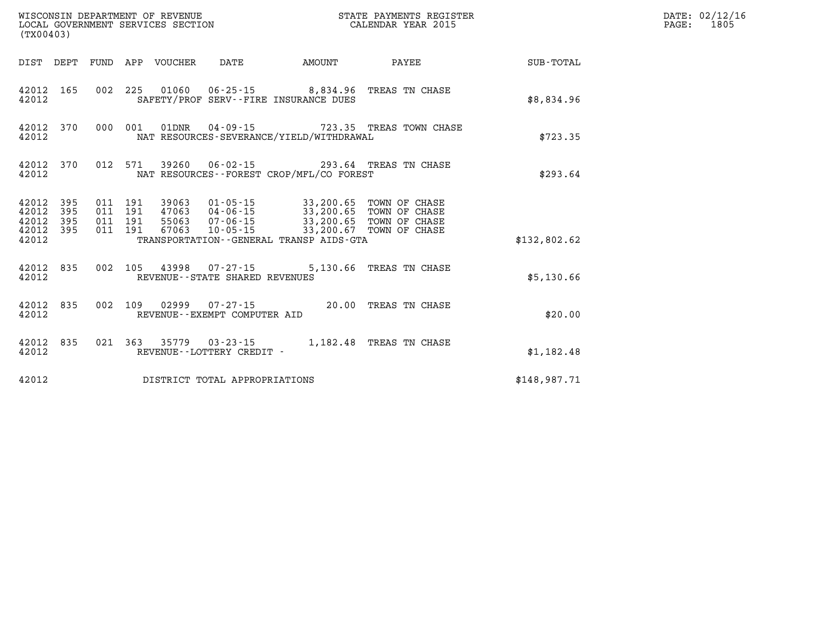| (TX00403)                                             |           |  |                                 | WISCONSIN DEPARTMENT OF REVENUE<br>LOCAL GOVERNMENT SERVICES SECTION |                                                                                                                                                                                                                                                                                                                                                                                   | STATE PAYMENTS REGISTER<br>CALENDAR YEAR 2015            |              | DATE: 02/12/16<br>PAGE: 1805 |
|-------------------------------------------------------|-----------|--|---------------------------------|----------------------------------------------------------------------|-----------------------------------------------------------------------------------------------------------------------------------------------------------------------------------------------------------------------------------------------------------------------------------------------------------------------------------------------------------------------------------|----------------------------------------------------------|--------------|------------------------------|
|                                                       |           |  | DIST DEPT FUND APP VOUCHER DATE |                                                                      | <b>AMOUNT</b>                                                                                                                                                                                                                                                                                                                                                                     | <b>PAYEE</b> FOR THE PAYEE                               | SUB-TOTAL    |                              |
| 42012 165<br>42012                                    |           |  |                                 |                                                                      | 002 225 01060 06-25-15 8,834.96 TREAS TN CHASE<br>SAFETY/PROF SERV--FIRE INSURANCE DUES                                                                                                                                                                                                                                                                                           |                                                          | \$8,834.96   |                              |
| 42012                                                 |           |  |                                 |                                                                      | NAT RESOURCES-SEVERANCE/YIELD/WITHDRAWAL                                                                                                                                                                                                                                                                                                                                          | 42012 370 000 001 01DNR 04-09-15 723.35 TREAS TOWN CHASE | \$723.35     |                              |
| 42012                                                 | 42012 370 |  |                                 |                                                                      | 012 571 39260 06-02-15 293.64 TREAS TN CHASE<br>NAT RESOURCES--FOREST CROP/MFL/CO FOREST                                                                                                                                                                                                                                                                                          |                                                          | \$293.64     |                              |
| 42012 395<br>42012<br>42012 395<br>42012 395<br>42012 | 395       |  |                                 |                                                                      | $\begin{array}{cccc} 011 & 191 & 39063 & 01\cdot 05\cdot 15 & 33\, , 200\, .65 & \text{TOWN OF CHASE} \\ 011 & 191 & 47063 & 04\cdot 06\cdot 15 & 33\, , 200\, .65 & \text{TOWN OF CHASE} \\ 011 & 191 & 55063 & 07\cdot 06\cdot 15 & 33\, , 200\, .65 & \text{TOWN OF CHASE} \\ 011 & 191 & 67063 & 10\cdot 05\cdot 15 & 33\, , 200\$<br>TRANSPORTATION--GENERAL TRANSP AIDS-GTA |                                                          | \$132,802.62 |                              |
| 42012                                                 |           |  |                                 | REVENUE--STATE SHARED REVENUES                                       | 42012 835 002 105 43998 07-27-15 5,130.66 TREAS TN CHASE                                                                                                                                                                                                                                                                                                                          |                                                          | \$5,130.66   |                              |
| 42012 835<br>42012                                    |           |  |                                 | REVENUE--EXEMPT COMPUTER AID                                         | 002 109 02999 07-27-15 20.00 TREAS TN CHASE                                                                                                                                                                                                                                                                                                                                       |                                                          | \$20.00      |                              |
| 42012 835<br>42012                                    |           |  |                                 | REVENUE--LOTTERY CREDIT -                                            | 021 363 35779 03-23-15 1,182.48 TREAS TN CHASE                                                                                                                                                                                                                                                                                                                                    |                                                          | \$1,182.48   |                              |
| 42012                                                 |           |  |                                 | DISTRICT TOTAL APPROPRIATIONS                                        |                                                                                                                                                                                                                                                                                                                                                                                   |                                                          | \$148,987.71 |                              |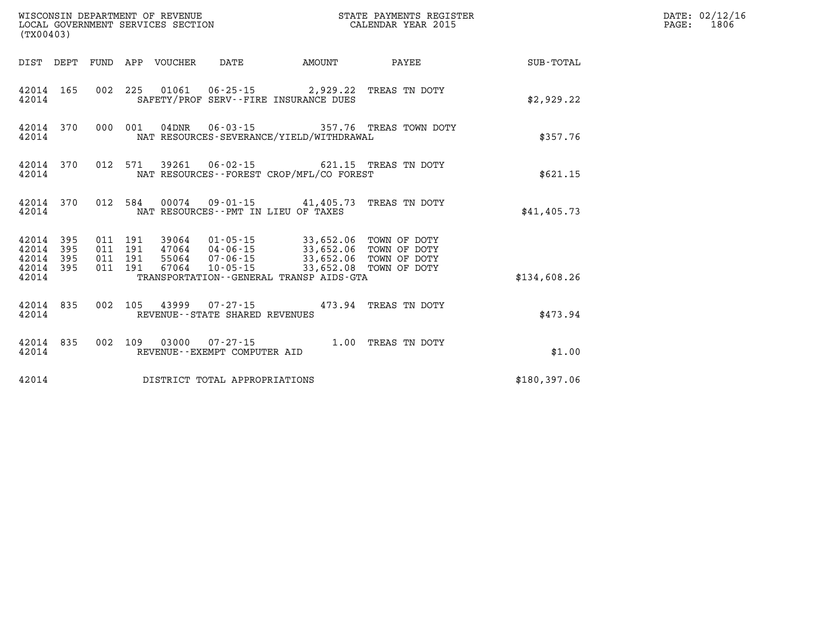| (TX00403)                                              |                                          | WISCONSIN DEPARTMENT OF REVENUE<br>LOCAL GOVERNMENT SERVICES SECTION |                                                                                                                                              |        | STATE PAYMENTS REGISTER<br>CALENDAR YEAR 2015 |              | DATE: 02/12/16<br>$\mathtt{PAGE}$ :<br>1806 |
|--------------------------------------------------------|------------------------------------------|----------------------------------------------------------------------|----------------------------------------------------------------------------------------------------------------------------------------------|--------|-----------------------------------------------|--------------|---------------------------------------------|
|                                                        |                                          | DIST DEPT FUND APP VOUCHER                                           | DATE                                                                                                                                         | AMOUNT | PAYEE                                         | SUB-TOTAL    |                                             |
| 42014 165<br>42014                                     |                                          | 002 225 01061 06-25-15 2,929.22 TREAS TN DOTY                        | SAFETY/PROF SERV--FIRE INSURANCE DUES                                                                                                        |        |                                               | \$2,929.22   |                                             |
| 42014 370<br>42014                                     | 000 001                                  | $04\mathtt{DNR}$                                                     | NAT RESOURCES-SEVERANCE/YIELD/WITHDRAWAL                                                                                                     |        | 06-03-15 357.76 TREAS TOWN DOTY               | \$357.76     |                                             |
| 42014 370<br>42014                                     |                                          | 012 571 39261                                                        | 06-02-15 621.15 TREAS TN DOTY<br>NAT RESOURCES - - FOREST CROP/MFL/CO FOREST                                                                 |        |                                               | \$621.15     |                                             |
| 42014 370<br>42014                                     | 012 584                                  |                                                                      | 00074  09-01-15  41,405.73  TREAS TN DOTY<br>NAT RESOURCES -- PMT IN LIEU OF TAXES                                                           |        |                                               | \$41,405.73  |                                             |
| 42014 395<br>42014<br>395<br>395<br>42014<br>42014 395 | 011 191<br>011 191<br>011 191<br>011 191 | 67064                                                                | 39064  01-05-15  33,652.06  TOWN OF DOTY<br>47064  04-06-15  33,652.06  TOWN OF DOTY<br>55064  07-06-15  33,652.06  TOWN OF DOTY<br>10-05-15 |        | 33,652.08 TOWN OF DOTY                        |              |                                             |
| 42014                                                  |                                          |                                                                      | TRANSPORTATION--GENERAL TRANSP AIDS-GTA                                                                                                      |        |                                               | \$134,608.26 |                                             |
| 42014 835<br>42014                                     |                                          | 002 105 43999 07-27-15 473.94 TREAS TN DOTY                          | REVENUE - - STATE SHARED REVENUES                                                                                                            |        |                                               | \$473.94     |                                             |
| 42014 835<br>42014                                     |                                          | 002 109 03000 07-27-15 1.00 TREAS TN DOTY                            | REVENUE--EXEMPT COMPUTER AID                                                                                                                 |        |                                               | \$1.00       |                                             |
| 42014                                                  |                                          |                                                                      | DISTRICT TOTAL APPROPRIATIONS                                                                                                                |        |                                               | \$180,397.06 |                                             |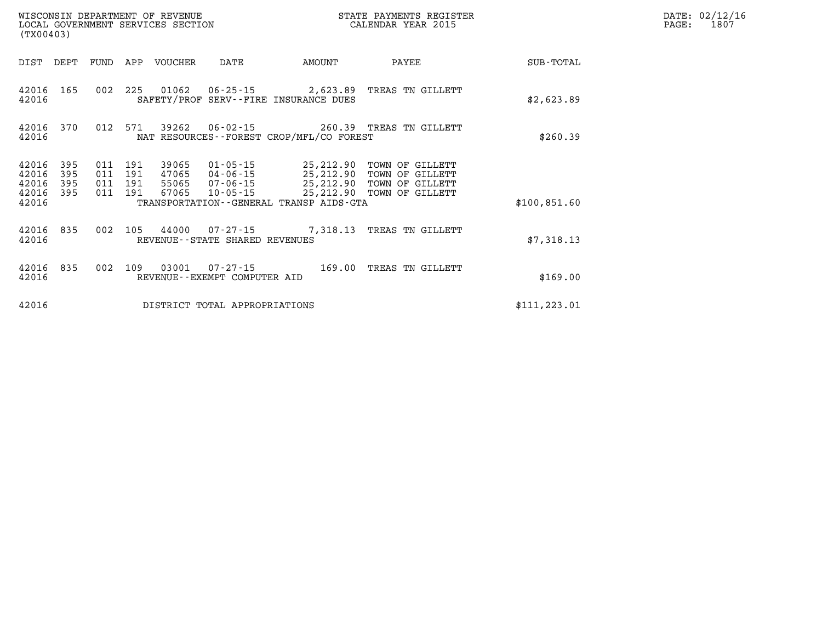| (TX00403)      |            |            |            | WISCONSIN DEPARTMENT OF REVENUE<br>LOCAL GOVERNMENT SERVICES SECTION |                                                     |                                                   | STATE PAYMENTS REGISTER<br>CALENDAR YEAR 2015 |                  |
|----------------|------------|------------|------------|----------------------------------------------------------------------|-----------------------------------------------------|---------------------------------------------------|-----------------------------------------------|------------------|
| DIST           | DEPT       | FUND       | APP        | <b>VOUCHER</b>                                                       | DATE                                                | AMOUNT                                            | PAYEE                                         | <b>SUB-TOTAL</b> |
| 42016<br>42016 | 165        | 002        | 225        | 01062                                                                | 06-25-15                                            | 2,623.89<br>SAFETY/PROF SERV--FIRE INSURANCE DUES | TREAS TN GILLETT                              | \$2,623.89       |
| 42016<br>42016 | 370        | 012        | 571        | 39262                                                                | 06-02-15                                            | NAT RESOURCES - - FOREST CROP/MFL/CO FOREST       | 260.39 TREAS TN GILLETT                       | \$260.39         |
| 42016<br>42016 | 395<br>395 | 011<br>011 | 191<br>191 | 39065<br>47065                                                       | $01 - 05 - 15$<br>04-06-15                          | 25,212.90<br>25,212.90                            | TOWN OF GILLETT<br>TOWN OF<br>GILLETT         |                  |
| 42016<br>42016 | 395<br>395 | 011<br>011 | 191<br>191 | 55065<br>67065                                                       | 07-06-15<br>$10 - 05 - 15$                          | 25,212.90<br>25,212.90                            | TOWN OF GILLETT<br>TOWN OF GILLETT            |                  |
| 42016          |            |            |            |                                                                      |                                                     | TRANSPORTATION - - GENERAL TRANSP AIDS - GTA      |                                               | \$100,851.60     |
| 42016<br>42016 | 835        | 002        | 105        | 44000                                                                | $07 - 27 - 15$<br>REVENUE - - STATE SHARED REVENUES | 7,318.13                                          | TREAS TN GILLETT                              | \$7,318.13       |
| 42016<br>42016 | 835        | 002        | 109        | 03001                                                                | $07 - 27 - 15$<br>REVENUE - - EXEMPT COMPUTER AID   | 169.00                                            | TREAS TN GILLETT                              | \$169.00         |
| 42016          |            |            |            |                                                                      | DISTRICT TOTAL APPROPRIATIONS                       |                                                   |                                               | \$111, 223.01    |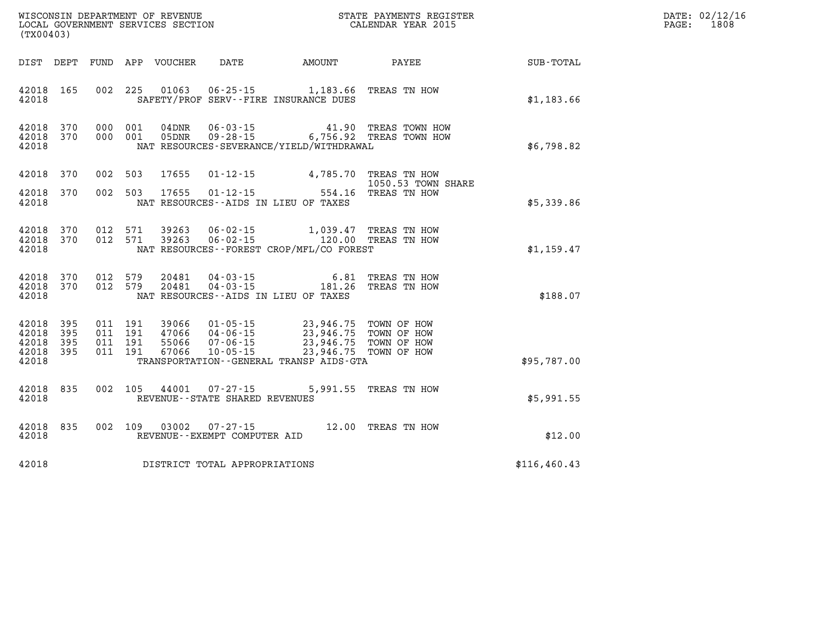| DATE: | 02/12/16 |
|-------|----------|
| PAGE: | 1808     |

| (TX00403)                                     |                   |                                          | LOCAL GOVERNMENT SERVICES SECTION |                                                             | CALENDAR YEAR 2015                                                                                                                                                                                           |                       |                             | PAGE: | 1808 |
|-----------------------------------------------|-------------------|------------------------------------------|-----------------------------------|-------------------------------------------------------------|--------------------------------------------------------------------------------------------------------------------------------------------------------------------------------------------------------------|-----------------------|-----------------------------|-------|------|
| DIST DEPT                                     |                   |                                          | FUND APP VOUCHER                  |                                                             |                                                                                                                                                                                                              |                       | DATE AMOUNT PAYEE SUB-TOTAL |       |      |
| 42018 165<br>42018                            |                   | 002 225                                  | 01063                             |                                                             | 06-25-15 1,183.66 TREAS TN HOW<br>SAFETY/PROF SERV--FIRE INSURANCE DUES                                                                                                                                      |                       | \$1,183.66                  |       |      |
| 42018 370<br>42018<br>42018                   | 370               | 000 001<br>000 001                       | 04DNR                             |                                                             | 06-03-15 41.90 TREAS TOWN HOW<br>05DNR 09-28-15 6,756.92 TREAS TOWN HOW<br>NAT RESOURCES-SEVERANCE/YIELD/WITHDRAWAL                                                                                          |                       | \$6,798.82                  |       |      |
| 42018                                         | 370               | 002 503                                  | 17655                             |                                                             | 01-12-15 4,785.70 TREAS TN HOW                                                                                                                                                                               | 1050.53 TOWN SHARE    |                             |       |      |
| 42018<br>42018                                | 370               | 002 503                                  |                                   |                                                             | 17655  01-12-15  554.16  TREAS  TN HOW<br>NAT RESOURCES--AIDS IN LIEU OF TAXES                                                                                                                               |                       | \$5,339.86                  |       |      |
| 42018<br>42018 370<br>42018                   | 370               | 012 571<br>012 571                       | 39263<br>39263                    |                                                             | 06-02-15 1,039.47 TREAS TN HOW<br>06-02-15 120.00 TREAS TN HOW<br>NAT RESOURCES--FOREST CROP/MFL/CO FOREST                                                                                                   |                       | \$1,159.47                  |       |      |
| 42018 370<br>42018 370<br>42018               |                   | 012 579<br>012 579                       | 20481<br>20481                    |                                                             | 04-03-15 6.81 TREAS TN HOW 04-03-15 181.26 TREAS TN HOW<br>NAT RESOURCES -- AIDS IN LIEU OF TAXES                                                                                                            |                       | \$188.07                    |       |      |
| 42018 395<br>42018<br>42018<br>42018<br>42018 | 395<br>395<br>395 | 011 191<br>011 191<br>011 191<br>011 191 |                                   |                                                             | 39066 01-05-15 23,946.75 TOWN OF HOW<br>47066 04-06-15 23,946.75 TOWN OF HOW<br>55066 07-06-15 23,946.75 TOWN OF HOW<br>67066 10-05-15 23,946.75 TOWN OF HOW<br>TRANSPORTATION - - GENERAL TRANSP AIDS - GTA |                       | \$95,787.00                 |       |      |
| 42018<br>42018                                | 835               |                                          |                                   | 002 105 44001 07-27-15<br>REVENUE - - STATE SHARED REVENUES |                                                                                                                                                                                                              | 5,991.55 TREAS TN HOW | \$5,991.55                  |       |      |
| 42018<br>42018                                | 835               | 002 109                                  |                                   | REVENUE--EXEMPT COMPUTER AID                                | 03002  07-27-15  12.00 TREAS TN HOW                                                                                                                                                                          |                       | \$12.00                     |       |      |
| 42018                                         |                   |                                          |                                   | DISTRICT TOTAL APPROPRIATIONS                               |                                                                                                                                                                                                              |                       | \$116, 460.43               |       |      |
|                                               |                   |                                          |                                   |                                                             |                                                                                                                                                                                                              |                       |                             |       |      |

WISCONSIN DEPARTMENT OF REVENUE **STATE PAYMENTS REGISTER**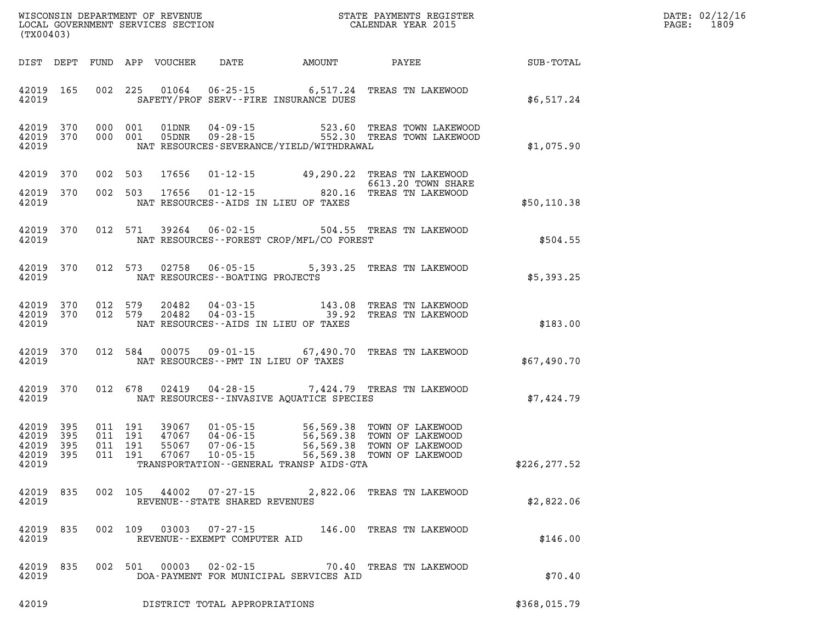| DATE: | 02/12/16 |
|-------|----------|
| PAGE: | 1809     |

| (TX00403)                                 |                          |         |                               |                |                                                      |                                              | WISCONSIN DEPARTMENT OF REVENUE<br>LOCAL GOVERNMENT SERVICES SECTION CALENDAR YEAR 2015    |               | DATE: 02/12/1<br>1809<br>$\mathtt{PAGE:}$ |
|-------------------------------------------|--------------------------|---------|-------------------------------|----------------|------------------------------------------------------|----------------------------------------------|--------------------------------------------------------------------------------------------|---------------|-------------------------------------------|
|                                           |                          |         |                               |                |                                                      |                                              | DIST DEPT FUND APP VOUCHER DATE AMOUNT PAYEE TO SUB-TOTAL                                  |               |                                           |
| 42019                                     | 42019 165                |         |                               |                |                                                      | SAFETY/PROF SERV--FIRE INSURANCE DUES        | 002 225 01064 06-25-15 6,517.24 TREAS TN LAKEWOOD                                          | \$6,517.24    |                                           |
| 42019 370<br>42019                        | 42019 370                |         | 000 001<br>000 001            |                |                                                      | NAT RESOURCES-SEVERANCE/YIELD/WITHDRAWAL     | 01DNR  04-09-15  523.60 TREAS TOWN LAKEWOOD<br>05DNR  09-28-15  552.30 TREAS TOWN LAKEWOOD | \$1,075.90    |                                           |
| 42019 370                                 |                          |         | 002 503                       | 17656          |                                                      |                                              | 01-12-15 49,290.22 TREAS TN LAKEWOOD<br>6613.20 TOWN SHARE                                 |               |                                           |
| 42019 370<br>42019                        |                          |         |                               | 002 503 17656  |                                                      | NAT RESOURCES -- AIDS IN LIEU OF TAXES       | 6613.20 TOWN SHARE<br>01-12-15 820.16 TREAS TN LAKEWOOD                                    | \$50,110.38   |                                           |
| 42019                                     | 42019 370                |         |                               | 012 571 39264  | $06 - 02 - 15$                                       | NAT RESOURCES - - FOREST CROP/MFL/CO FOREST  | 504.55 TREAS TN LAKEWOOD                                                                   | \$504.55      |                                           |
| 42019                                     | 42019 370                |         |                               | 012 573 02758  | $06 - 05 - 15$<br>NAT RESOURCES - - BOATING PROJECTS |                                              | 5,393.25 TREAS TN LAKEWOOD                                                                 | \$5,393.25    |                                           |
| 42019 370<br>42019                        | 42019 370                |         | 012 579<br>012 579            | 20482<br>20482 |                                                      | NAT RESOURCES -- AIDS IN LIEU OF TAXES       | 04-03-15 143.08 TREAS TN LAKEWOOD 04-03-15 39.92 TREAS TN LAKEWOOD                         | \$183.00      |                                           |
| 42019                                     | 42019 370                |         |                               |                |                                                      | NAT RESOURCES -- PMT IN LIEU OF TAXES        | 012 584 00075 09-01-15 67,490.70 TREAS TN LAKEWOOD                                         | \$67,490.70   |                                           |
| 42019                                     | 42019 370                |         |                               | 012 678 02419  |                                                      | NAT RESOURCES -- INVASIVE AOUATICE SPECIES   | 04-28-15 7,424.79 TREAS TN LAKEWOOD                                                        | \$7,424.79    |                                           |
| 42019<br>42019<br>42019<br>42019<br>42019 | 395<br>395<br>395<br>395 | 011 191 | 011 191<br>011 191<br>011 191 |                |                                                      | TRANSPORTATION - - GENERAL TRANSP AIDS - GTA |                                                                                            | \$226, 277.52 |                                           |
| 42019                                     | 42019 835                |         |                               | 002 105 44002  | REVENUE - - STATE SHARED REVENUES                    |                                              | 07-27-15 2,822.06 TREAS TN LAKEWOOD                                                        | \$2,822.06    |                                           |
| 42019<br>42019                            | 835                      |         |                               |                | REVENUE--EXEMPT COMPUTER AID                         |                                              | 002 109 03003 07-27-15 146.00 TREAS TN LAKEWOOD                                            | \$146.00      |                                           |
| 42019<br>42019                            | 835                      |         | 002 501                       | 00003          |                                                      | DOA-PAYMENT FOR MUNICIPAL SERVICES AID       | 02-02-15 70.40 TREAS TN LAKEWOOD                                                           | \$70.40       |                                           |

**42019 DISTRICT TOTAL APPROPRIATIONS \$368,015.79**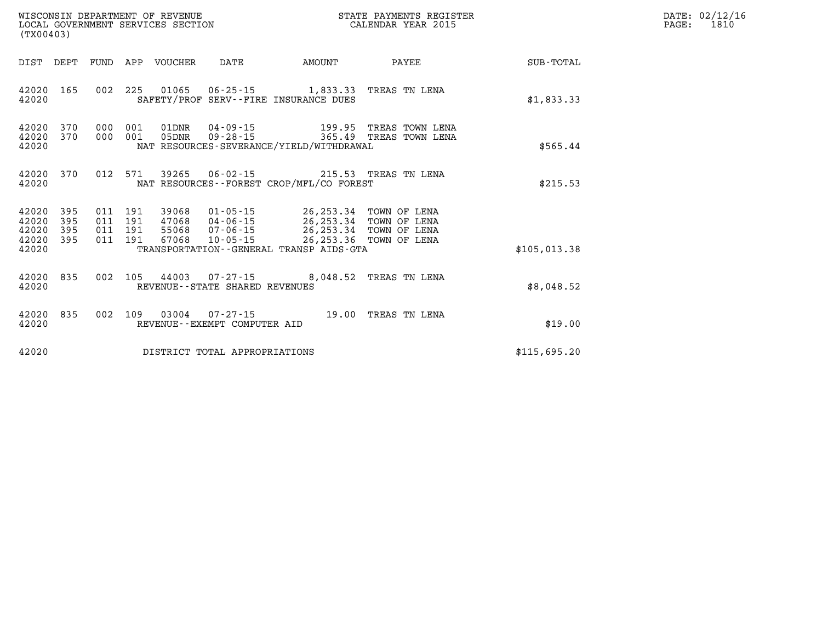| (TX00403)                                         |            |         |                  |                                |                                                                                                                                                                                                                                                  | STATE PAYMENTS REGISTER                                                                       |              | DATE: 02/12/16<br>$\mathtt{PAGE}$ :<br>1810 |
|---------------------------------------------------|------------|---------|------------------|--------------------------------|--------------------------------------------------------------------------------------------------------------------------------------------------------------------------------------------------------------------------------------------------|-----------------------------------------------------------------------------------------------|--------------|---------------------------------------------|
| DIST DEPT                                         |            |         | FUND APP VOUCHER | DATE                           | AMOUNT                                                                                                                                                                                                                                           | <b>PAYEE</b>                                                                                  | SUB-TOTAL    |                                             |
| 42020 165<br>42020                                |            |         |                  |                                | 002 225 01065 06-25-15 1,833.33 TREAS TN LENA<br>SAFETY/PROF SERV--FIRE INSURANCE DUES                                                                                                                                                           |                                                                                               | \$1,833.33   |                                             |
| 42020 370<br>42020<br>42020                       | 370        | 000 001 |                  |                                | NAT RESOURCES-SEVERANCE/YIELD/WITHDRAWAL                                                                                                                                                                                                         | 01DNR  04-09-15    199.95    TREAS TOWN LENA<br>000 001 05DNR 09-28-15 365.49 TREAS TOWN LENA | \$565.44     |                                             |
| 42020 370<br>42020                                |            |         |                  |                                | 012 571 39265 06-02-15 215.53 TREAS TN LENA<br>NAT RESOURCES--FOREST CROP/MFL/CO FOREST                                                                                                                                                          |                                                                                               | \$215.53     |                                             |
| 42020 395<br>42020<br>42020<br>42020 395<br>42020 | 395<br>395 |         |                  |                                | 011 191 39068 01-05-15 26,253.34 TOWN OF LENA<br>011 191 47068 04-06-15 26,253.34 TOWN OF LENA<br>011 191 55068 07-06-15 26,253.34 TOWN OF LENA<br>011 191 67068 10-05-15 26,253.36 TOWN OF LENA<br>TRANSPORTATION - - GENERAL TRANSP AIDS - GTA |                                                                                               | \$105.013.38 |                                             |
| 42020 835<br>42020                                |            |         |                  | REVENUE--STATE SHARED REVENUES | 002 105 44003 07-27-15 8,048.52 TREAS TN LENA                                                                                                                                                                                                    |                                                                                               | \$8,048.52   |                                             |
| 42020 835<br>42020                                |            |         |                  | REVENUE--EXEMPT COMPUTER AID   | 002 109 03004 07-27-15 19.00 TREAS TN LENA                                                                                                                                                                                                       |                                                                                               | \$19.00      |                                             |
| 42020                                             |            |         |                  | DISTRICT TOTAL APPROPRIATIONS  |                                                                                                                                                                                                                                                  |                                                                                               | \$115,695.20 |                                             |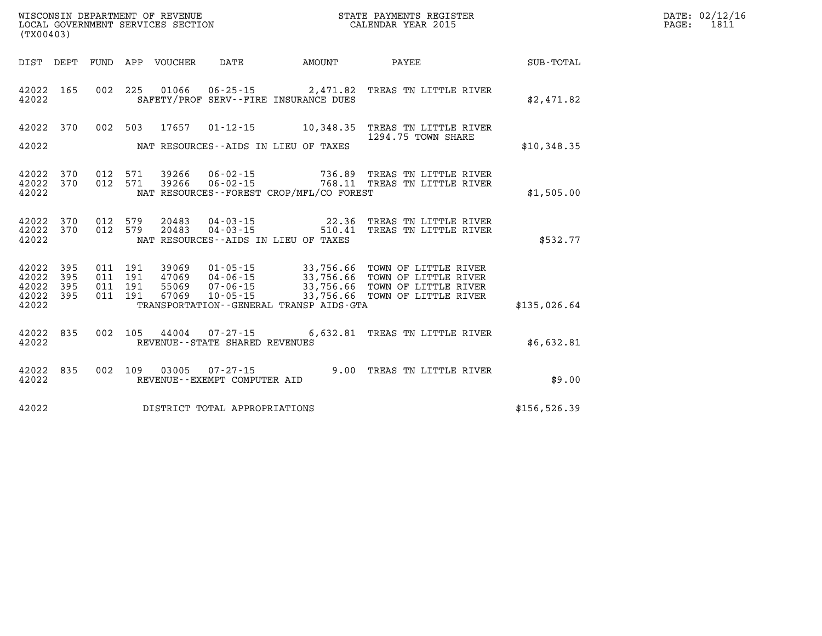| (TX00403)      |            |             |            | WISCONSIN DEPARTMENT OF REVENUE<br>LOCAL GOVERNMENT SERVICES SECTION |                                                     |                                                                  | STATE PAYMENTS REGISTER<br>CALENDAR YEAR 2015         |              |
|----------------|------------|-------------|------------|----------------------------------------------------------------------|-----------------------------------------------------|------------------------------------------------------------------|-------------------------------------------------------|--------------|
| DIST           | DEPT       | <b>FUND</b> | APP        | VOUCHER                                                              | DATE                                                | AMOUNT                                                           | PAYEE                                                 | SUB-TOTAL    |
| 42022<br>42022 | 165        | 002         | 225        | 01066                                                                |                                                     | $06 - 25 - 15$ 2,471.82<br>SAFETY/PROF SERV--FIRE INSURANCE DUES | TREAS TN LITTLE RIVER                                 | \$2,471.82   |
| 42022          | 370        | 002         | 503        | 17657                                                                | $01 - 12 - 15$                                      | 10,348.35                                                        | TREAS TN LITTLE RIVER<br>1294.75 TOWN SHARE           |              |
| 42022          |            |             |            |                                                                      |                                                     | NAT RESOURCES -- AIDS IN LIEU OF TAXES                           |                                                       | \$10,348.35  |
| 42022<br>42022 | 370<br>370 | 012<br>012  | 571<br>571 | 39266<br>39266                                                       | $06 - 02 - 15$<br>$06 - 02 - 15$                    | 736.89                                                           | TREAS TN LITTLE RIVER<br>768.11 TREAS TN LITTLE RIVER |              |
| 42022          |            |             |            |                                                                      |                                                     | NAT RESOURCES - - FOREST CROP/MFL/CO FOREST                      |                                                       | \$1,505.00   |
| 42022<br>42022 | 370<br>370 | 012<br>012  | 579<br>579 | 20483<br>20483                                                       | $04 - 03 - 15$<br>$04 - 03 - 15$                    | 22.36<br>510.41                                                  | TREAS TN LITTLE RIVER<br>TREAS TN LITTLE RIVER        |              |
| 42022          |            |             |            |                                                                      |                                                     | NAT RESOURCES - AIDS IN LIEU OF TAXES                            |                                                       | \$532.77     |
| 42022<br>42022 | 395<br>395 | 011<br>011  | 191<br>191 | 39069<br>47069                                                       | $01 - 05 - 15$<br>$04 - 06 - 15$                    | 33,756.66<br>33,756.66                                           | TOWN OF LITTLE RIVER<br>TOWN OF LITTLE RIVER          |              |
| 42022<br>42022 | 395<br>395 | 011<br>011  | 191<br>191 | 55069<br>67069                                                       | $07 - 06 - 15$<br>$10 - 05 - 15$                    | 33,756.66<br>33,756.66                                           | TOWN OF LITTLE RIVER<br>TOWN OF LITTLE RIVER          |              |
| 42022          |            |             |            |                                                                      |                                                     | TRANSPORTATION--GENERAL TRANSP AIDS-GTA                          |                                                       | \$135,026.64 |
| 42022<br>42022 | 835        | 002         | 105        | 44004                                                                | $07 - 27 - 15$<br>REVENUE - - STATE SHARED REVENUES | 6,632.81                                                         | TREAS TN LITTLE RIVER                                 | \$6,632.81   |
|                |            |             |            |                                                                      |                                                     |                                                                  |                                                       |              |
| 42022<br>42022 | 835        | 002         | 109        | 03005                                                                | $07 - 27 - 15$<br>REVENUE - - EXEMPT COMPUTER AID   | 9.00                                                             | TREAS TN LITTLE RIVER                                 | \$9.00       |
| 42022          |            |             |            |                                                                      | DISTRICT TOTAL APPROPRIATIONS                       |                                                                  |                                                       | \$156,526.39 |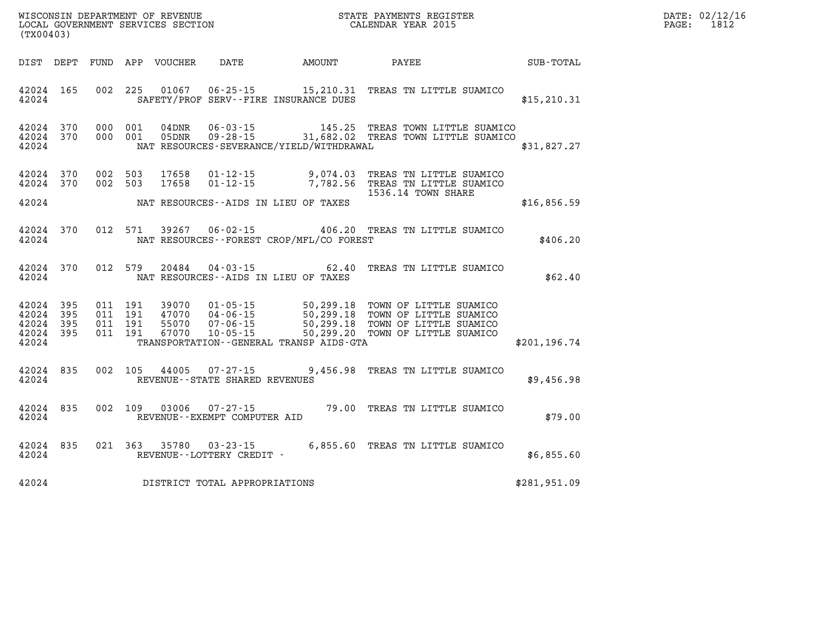| DATE: | 02/12/16 |
|-------|----------|
| PAGE: | 1812     |

| WISCONSIN DEPARTMENT OF REVENUE<br>LOCAL GOVERNMENT SERVICES SECTION<br>(TW00403)<br>(TX00403) |  |  |  |                                |                                       |                                                |                                                                                                                                                                                                                                         |              | DATE: 02/12/1<br>1812<br>$\mathtt{PAGE}$ : |
|------------------------------------------------------------------------------------------------|--|--|--|--------------------------------|---------------------------------------|------------------------------------------------|-----------------------------------------------------------------------------------------------------------------------------------------------------------------------------------------------------------------------------------------|--------------|--------------------------------------------|
|                                                                                                |  |  |  |                                |                                       |                                                | DIST DEPT FUND APP VOUCHER DATE AMOUNT PAYEE PAYER SUB-TOTAL                                                                                                                                                                            |              |                                            |
| 42024 165<br>42024                                                                             |  |  |  |                                |                                       | SAFETY/PROF SERV--FIRE INSURANCE DUES          | 002 225 01067 06-25-15 15, 210.31 TREAS TN LITTLE SUAMICO                                                                                                                                                                               | \$15, 210.31 |                                            |
| 42024 370<br>42024 370<br>42024                                                                |  |  |  |                                |                                       | NAT RESOURCES-SEVERANCE/YIELD/WITHDRAWAL       | 000 001 04DNR 06-03-15 145.25 TREAS TOWN LITTLE SUAMICO<br>000 001 05DNR 09-28-15 31,682.02 TREAS TOWN LITTLE SUAMICO                                                                                                                   | \$31,827.27  |                                            |
| 42024 370<br>42024 370<br>42024                                                                |  |  |  | 002 503 17658<br>002 503 17658 |                                       | NAT RESOURCES--AIDS IN LIEU OF TAXES           | 01-12-15 9,074.03 TREAS TN LITTLE SUAMICO<br>01-12-15 7,782.56 TREAS TN LITTLE SUAMICO<br>1536.14 TOWN SHARE                                                                                                                            | \$16,856.59  |                                            |
|                                                                                                |  |  |  |                                |                                       | 42024 NAT RESOURCES--FOREST CROP/MFL/CO FOREST | 42024 370 012 571 39267 06-02-15 406.20 TREAS TN LITTLE SUAMICO                                                                                                                                                                         | \$406.20     |                                            |
|                                                                                                |  |  |  |                                |                                       | 42024 NAT RESOURCES--AIDS IN LIEU OF TAXES     | 42024 370 012 579 20484 04-03-15 62.40 TREAS TN LITTLE SUAMICO                                                                                                                                                                          | \$62.40      |                                            |
| 42024 395<br>42024 395<br>42024 395<br>42024 395<br>42024                                      |  |  |  |                                |                                       | TRANSPORTATION - GENERAL TRANSP AIDS GTA       | 011 191 39070 01-05-15 50,299.18 TOWN OF LITTLE SUAMICO<br>011 191 47070 04-06-15 50,299.18 TOWN OF LITTLE SUAMICO<br>011 191 55070 07-06-15 50,299.18 TOWN OF LITTLE SUAMICO<br>011 191 67070 10-05-15 50,299.20 TOWN OF LITTLE SUAMIC | \$201,196.74 |                                            |
| 42024 835                                                                                      |  |  |  |                                | 42024 REVENUE - STATE SHARED REVENUES |                                                | 002 105 44005 07-27-15 9,456.98 TREAS TN LITTLE SUAMICO                                                                                                                                                                                 | \$9,456.98   |                                            |
|                                                                                                |  |  |  |                                |                                       |                                                | $42024$ 835 002 109 03006 07-27-15 79.00 TREAS TN LITTLE SUAMICO 42024 REVENUE--EXEMPT COMPUTER AID                                                                                                                                     | \$79.00      |                                            |
| 42024                                                                                          |  |  |  |                                | REVENUE--LOTTERY CREDIT -             |                                                | 42024 835 021 363 35780 03-23-15 6,855.60 TREAS TN LITTLE SUAMICO                                                                                                                                                                       | \$6,855.60   |                                            |
|                                                                                                |  |  |  |                                | 42024 DISTRICT TOTAL APPROPRIATIONS   |                                                |                                                                                                                                                                                                                                         | \$281,951.09 |                                            |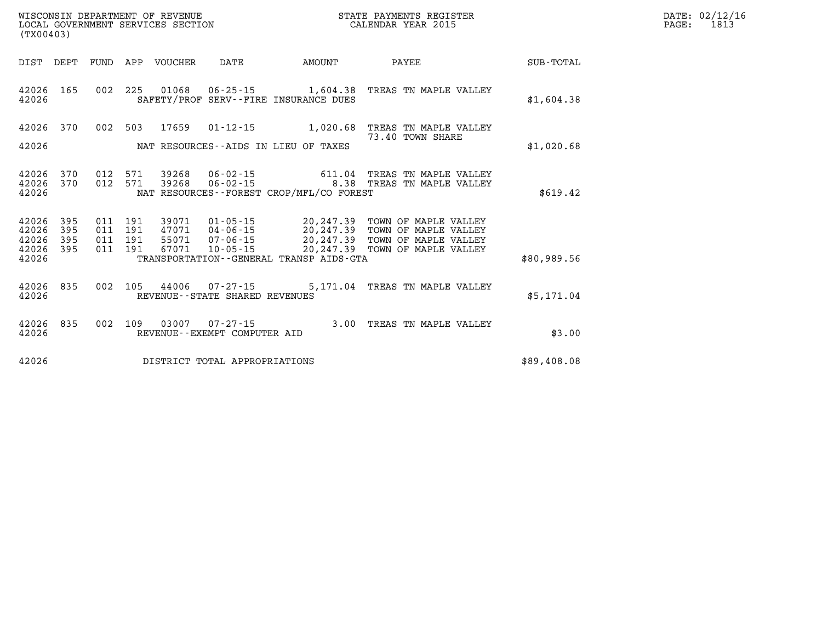| LOCAL GOVERNMENT SERVICES SECTION<br>(TX00403) |                         |                               |         |                                  |                                |                                          | CALENDAR YEAR 2015                                                                                                                                                                                  |             | PAGE: | 1813 |
|------------------------------------------------|-------------------------|-------------------------------|---------|----------------------------------|--------------------------------|------------------------------------------|-----------------------------------------------------------------------------------------------------------------------------------------------------------------------------------------------------|-------------|-------|------|
|                                                |                         |                               |         | DIST DEPT FUND APP VOUCHER       | DATE                           | AMOUNT                                   | $\mathtt{PAYEE}$                                                                                                                                                                                    | SUB-TOTAL   |       |      |
| 42026                                          | 42026 165               |                               |         |                                  |                                | SAFETY/PROF SERV--FIRE INSURANCE DUES    | 002 225 01068 06-25-15 1,604.38 TREAS TN MAPLE VALLEY                                                                                                                                               | \$1,604.38  |       |      |
| 42026                                          |                         |                               |         |                                  |                                | NAT RESOURCES--AIDS IN LIEU OF TAXES     | 42026 370 002 503 17659 01-12-15 1,020.68 TREAS TN MAPLE VALLEY<br>73.40 TOWN SHARE                                                                                                                 | \$1,020.68  |       |      |
| 42026                                          | 42026 370               | 012 571                       |         | 42026 370 012 571 39268<br>39268 |                                | NAT RESOURCES--FOREST CROP/MFL/CO FOREST | 06-02-15 611.04 TREAS TN MAPLE VALLEY<br>06-02-15 8.38 TREAS TN MAPLE VALLEY                                                                                                                        | \$619.42    |       |      |
| 42026 395<br>42026<br>42026<br>42026           | 395<br>395<br>42026 395 | 011 191<br>011 191<br>011 191 | 011 191 |                                  |                                | TRANSPORTATION--GENERAL TRANSP AIDS-GTA  | 39071  01-05-15  20,247.39  TOWN OF MAPLE VALLEY<br>47071 04-06-15 20,247.39 TOWN OF MAPLE VALLEY<br>55071 07-06-15 20,247.39 TOWN OF MAPLE VALLEY<br>67071 10-05-15 20,247.39 TOWN OF MAPLE VALLEY | \$80,989.56 |       |      |
| 42026                                          | 42026 835               |                               |         |                                  | REVENUE--STATE SHARED REVENUES |                                          | 002 105 44006 07-27-15 5,171.04 TREAS TN MAPLE VALLEY                                                                                                                                               | \$5,171.04  |       |      |
| 42026                                          | 42026 835               |                               | 002 109 | 03007                            | REVENUE--EXEMPT COMPUTER AID   |                                          | 07-27-15 3.00 TREAS TN MAPLE VALLEY                                                                                                                                                                 | \$3.00      |       |      |
| 42026                                          |                         |                               |         |                                  | DISTRICT TOTAL APPROPRIATIONS  |                                          |                                                                                                                                                                                                     | \$89,408.08 |       |      |

**WISCONSIN DEPARTMENT OF REVENUE STATE PAYMENTS REGISTER DATE: 02/12/16**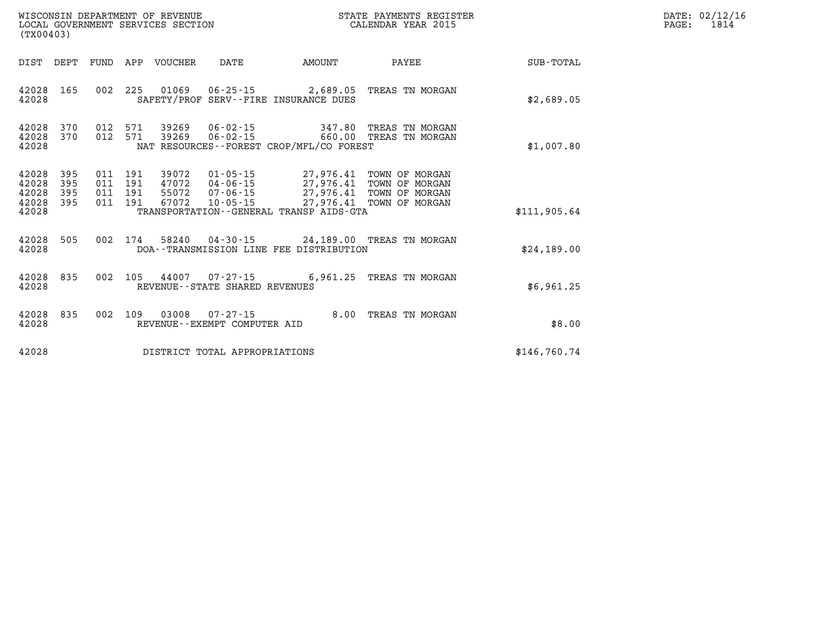| DATE: | 02/12/16 |
|-------|----------|
| PAGE: | 1814     |

| (TX00403)                                 |                          |                   |                              | WISCONSIN DEPARTMENT OF REVENUE<br>LOCAL GOVERNMENT SERVICES SECTION |                                                        |                                                                                                                | STATE PAYMENTS REGISTER<br>CALENDAR YEAR 2015                                                    |                  |
|-------------------------------------------|--------------------------|-------------------|------------------------------|----------------------------------------------------------------------|--------------------------------------------------------|----------------------------------------------------------------------------------------------------------------|--------------------------------------------------------------------------------------------------|------------------|
| DIST                                      | DEPT                     | FUND              | APP                          | VOUCHER                                                              | DATE                                                   | AMOUNT                                                                                                         | <b>PAYEE</b>                                                                                     | <b>SUB-TOTAL</b> |
| 42028<br>42028                            | 165                      | 002               | 225                          |                                                                      |                                                        | SAFETY/PROF SERV--FIRE INSURANCE DUES                                                                          | 01069  06-25-15  2,689.05  TREAS TN MORGAN                                                       | \$2,689.05       |
| 42028<br>42028<br>42028                   | 370<br>370               | 012               | 012 571<br>571               |                                                                      | 39269 06-02-15                                         | 660.00<br>NAT RESOURCES - - FOREST CROP/MFL/CO FOREST                                                          | 347.80 TREAS TN MORGAN<br>TREAS TN MORGAN                                                        | \$1,007.80       |
| 42028<br>42028<br>42028<br>42028<br>42028 | 395<br>395<br>395<br>395 | 011<br>011<br>011 | 011 191<br>191<br>191<br>191 | 55072<br>67072                                                       | 10-05-15                                               | 47072  04-06-15  27,976.41<br>$07 - 06 - 15$ 27,976.41<br>27,976.41<br>TRANSPORTATION--GENERAL TRANSP AIDS-GTA | 39072  01-05-15  27,976.41  TOWN OF MORGAN<br>TOWN OF MORGAN<br>TOWN OF MORGAN<br>TOWN OF MORGAN | \$111,905.64     |
| 42028<br>42028                            | 505                      | 002               | 174                          |                                                                      |                                                        | DOA--TRANSMISSION LINE FEE DISTRIBUTION                                                                        | 58240  04-30-15  24,189.00  TREAS TN MORGAN                                                      | \$24,189.00      |
| 42028<br>42028                            | 835                      | 002               | 105                          |                                                                      | REVENUE--STATE SHARED REVENUES                         |                                                                                                                | 44007 07-27-15 6,961.25 TREAS TN MORGAN                                                          | \$6,961.25       |
| 42028<br>42028                            | 835                      | 002               | 109                          |                                                                      | $03008$ $07 - 27 - 15$<br>REVENUE--EXEMPT COMPUTER AID | 8.00                                                                                                           | TREAS TN MORGAN                                                                                  | \$8.00           |
| 42028                                     |                          |                   |                              |                                                                      | DISTRICT TOTAL APPROPRIATIONS                          |                                                                                                                |                                                                                                  | \$146,760.74     |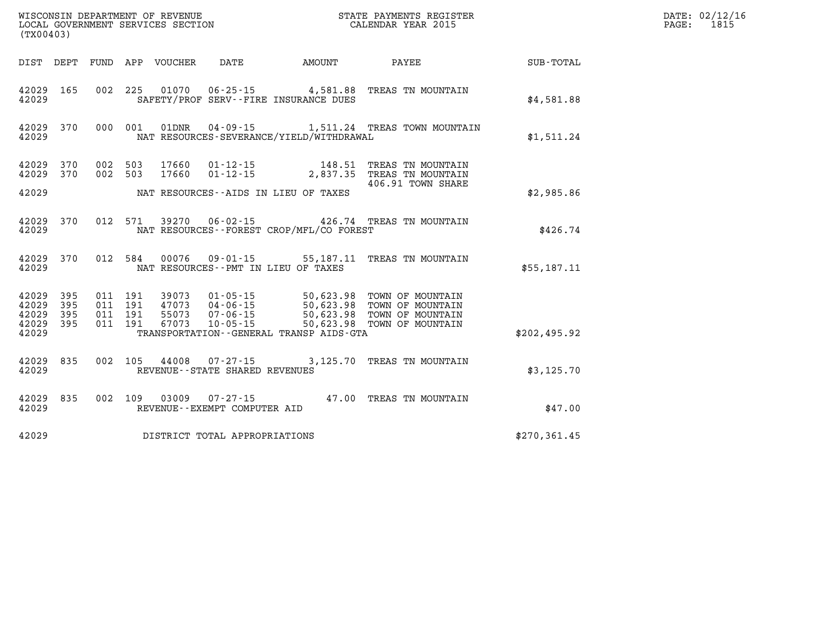|                         | WISCONSIN DEPARTMENT OF REVENUE<br>STATE PAYMENTS REGISTER<br>LOCAL GOVERNMENT SERVICES SECTION<br>CALENDAR YEAR 2015<br>(TX00403) |                   |                   |                         |                                                     |                                                      |                                                             |              |  |  |
|-------------------------|------------------------------------------------------------------------------------------------------------------------------------|-------------------|-------------------|-------------------------|-----------------------------------------------------|------------------------------------------------------|-------------------------------------------------------------|--------------|--|--|
| DIST                    | DEPT                                                                                                                               | FUND              | APP               | VOUCHER                 | DATE                                                | AMOUNT                                               | PAYEE                                                       | SUB-TOTAL    |  |  |
| 42029<br>42029          | 165                                                                                                                                | 002               | 225               | 01070                   | $06 - 25 - 15$                                      | 4,581.88<br>SAFETY/PROF SERV--FIRE INSURANCE DUES    | TREAS TN MOUNTAIN                                           | \$4,581.88   |  |  |
| 42029<br>42029          | 370                                                                                                                                | 000               | 001               | 01DNR                   | $04 - 09 - 15$                                      | NAT RESOURCES-SEVERANCE/YIELD/WITHDRAWAL             | 1,511.24 TREAS TOWN MOUNTAIN                                | \$1,511.24   |  |  |
| 42029<br>42029          | 370<br>370                                                                                                                         | 002<br>002        | 503<br>503        | 17660<br>17660          | $01 - 12 - 15$<br>$01 - 12 - 15$                    | 148.51<br>2,837.35                                   | TREAS TN MOUNTAIN<br>TREAS TN MOUNTAIN<br>406.91 TOWN SHARE |              |  |  |
| 42029                   |                                                                                                                                    |                   |                   |                         |                                                     | NAT RESOURCES -- AIDS IN LIEU OF TAXES               |                                                             | \$2,985.86   |  |  |
| 42029<br>42029          | 370                                                                                                                                | 012               | 571               | 39270                   | $06 - 02 - 15$                                      | NAT RESOURCES - - FOREST CROP/MFL/CO FOREST          | 426.74 TREAS TN MOUNTAIN                                    | \$426.74     |  |  |
| 42029<br>42029          | 370                                                                                                                                | 012               | 584               | 00076                   | 09-01-15                                            | 55,187.11<br>NAT RESOURCES - PMT IN LIEU OF TAXES    | TREAS TN MOUNTAIN                                           | \$55,187.11  |  |  |
| 42029<br>42029<br>42029 | 395<br>395<br>395                                                                                                                  | 011<br>011<br>011 | 191<br>191<br>191 | 39073<br>47073<br>55073 | $01 - 05 - 15$<br>$04 - 06 - 15$<br>$07 - 06 - 15$  | 50,623.98<br>50,623.98<br>50,623.98                  | TOWN OF MOUNTAIN<br>TOWN OF MOUNTAIN<br>TOWN OF MOUNTAIN    |              |  |  |
| 42029<br>42029          | 395                                                                                                                                | 011               | 191               | 67073                   | 10-05-15                                            | 50,623.98<br>TRANSPORTATION--GENERAL TRANSP AIDS-GTA | TOWN OF MOUNTAIN                                            | \$202,495.92 |  |  |
| 42029<br>42029          | 835                                                                                                                                | 002               | 105               | 44008                   | $07 - 27 - 15$<br>REVENUE - - STATE SHARED REVENUES | 3,125.70                                             | TREAS TN MOUNTAIN                                           | \$3,125.70   |  |  |
| 42029<br>42029          | 835                                                                                                                                | 002               | 109               | 03009                   | $07 - 27 - 15$<br>REVENUE--EXEMPT COMPUTER AID      | 47.00                                                | TREAS TN MOUNTAIN                                           | \$47.00      |  |  |
| 42029                   |                                                                                                                                    |                   |                   |                         | DISTRICT TOTAL APPROPRIATIONS                       |                                                      |                                                             | \$270,361.45 |  |  |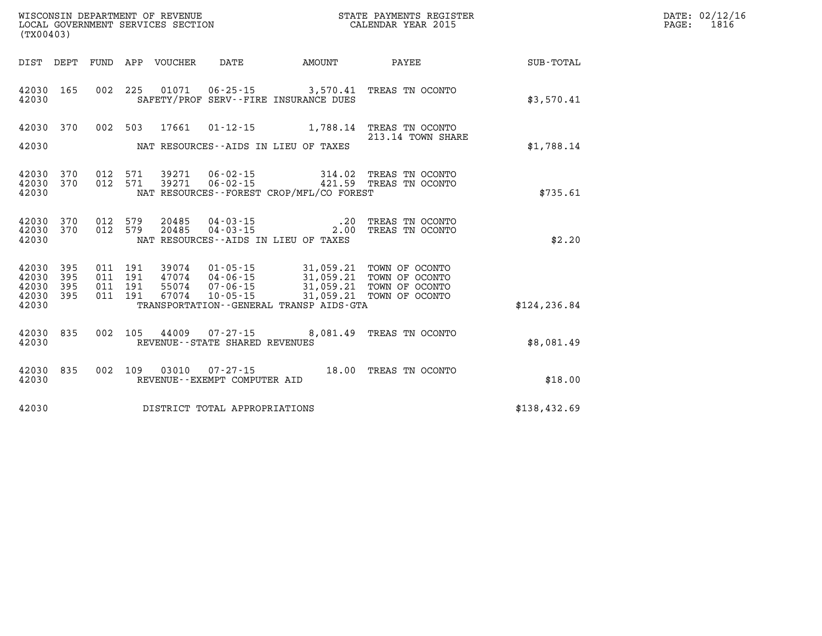| WISCONSIN DEPARTMENT OF REVENUE      | PAYMENTS REGISTER<br>3TATE | DATE: | 02/12/16 |
|--------------------------------------|----------------------------|-------|----------|
| GOVERNMENT SERVICES SECTION<br>LOCAL | CALENDAR YEAR 2015         | PAGE  | 1816     |

| (TX00403)                                                          | LOCAL GOVERNMENT SERVICES SECTION                                                                                                                                                                                                                                       | CALENDAR YEAR 2015                                                   | 1816<br>PAGE: |
|--------------------------------------------------------------------|-------------------------------------------------------------------------------------------------------------------------------------------------------------------------------------------------------------------------------------------------------------------------|----------------------------------------------------------------------|---------------|
|                                                                    | DIST DEPT FUND APP VOUCHER DATE      AMOUNT      PAYEE                                                                                                                                                                                                                  | $\texttt{SUB-TOTAL}$                                                 |               |
| 42030 165<br>42030                                                 | 002 225 01071 06-25-15 3,570.41 TREAS TN OCONTO<br>SAFETY/PROF SERV--FIRE INSURANCE DUES                                                                                                                                                                                |                                                                      | \$3,570.41    |
| 42030 370<br>42030                                                 | 002 503 17661 01-12-15 1,788.14 TREAS TN OCONTO<br>NAT RESOURCES--AIDS IN LIEU OF TAXES                                                                                                                                                                                 | 213.14 TOWN SHARE                                                    | \$1,788.14    |
| 42030 370<br>42030 370<br>42030                                    | 012 571 39271 06-02-15 314.02 TREAS TN OCONTO<br>39271     06-02-15     421.59     TREAS TN OCONTO<br>012 571<br>NAT RESOURCES--FOREST CROP/MFL/CO FOREST                                                                                                               |                                                                      | \$735.61      |
| 42030 370<br>42030 370<br>42030                                    | 012 579<br>20485<br>012 579<br>20485<br>NAT RESOURCES--AIDS IN LIEU OF TAXES                                                                                                                                                                                            | 04 - 03 - 15 .20 TREAS TN OCONTO<br>04 - 03 - 15 .00 TREAS TN OCONTO | \$2.20        |
| 42030<br>395<br>42030<br>395<br>42030<br>395<br>42030 395<br>42030 | 011 191<br>39074  01-05-15  31,059.21 TOWN OF OCONTO<br>47074  04-06-15  31,059.21 TOWN OF OCONTO<br>55074  07-06-15  31,059.21 TOWN OF OCONTO<br>67074  10-05-15  31,059.21 TOWN OF OCONTO<br>011 191<br>011 191<br>011 191<br>TRANSPORTATION--GENERAL TRANSP AIDS-GTA |                                                                      | \$124, 236.84 |
| 835<br>42030<br>42030                                              | 002 105 44009 07-27-15 8,081.49 TREAS TN OCONTO<br>REVENUE--STATE SHARED REVENUES                                                                                                                                                                                       |                                                                      | \$8.081.49    |
| 835<br>42030<br>42030                                              | 002 109 03010<br>REVENUE--EXEMPT COMPUTER AID                                                                                                                                                                                                                           | 07-27-15 18.00 TREAS TN OCONTO                                       | \$18.00       |
| 42030                                                              | DISTRICT TOTAL APPROPRIATIONS                                                                                                                                                                                                                                           |                                                                      | \$138,432.69  |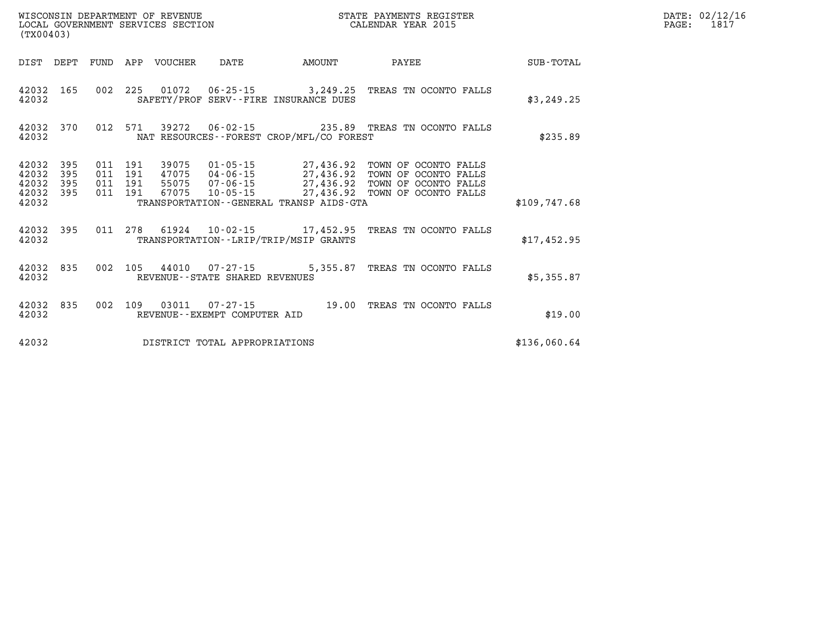|                                           | LOCAL GOVERNMENT SERVICES SECTION<br>(TX00403) |  |  |                                 |                                | CALENDAR YEAR 2015                           |                                                                                                                                                                                                                                                                                                                                                      | PAGE:        | 1817 |  |
|-------------------------------------------|------------------------------------------------|--|--|---------------------------------|--------------------------------|----------------------------------------------|------------------------------------------------------------------------------------------------------------------------------------------------------------------------------------------------------------------------------------------------------------------------------------------------------------------------------------------------------|--------------|------|--|
|                                           |                                                |  |  | DIST DEPT FUND APP VOUCHER DATE |                                | AMOUNT                                       | PAYEE                                                                                                                                                                                                                                                                                                                                                | SUB-TOTAL    |      |  |
| 42032                                     |                                                |  |  |                                 |                                | SAFETY/PROF SERV--FIRE INSURANCE DUES        | 42032 165 002 225 01072 06-25-15 3,249.25 TREAS TN OCONTO FALLS                                                                                                                                                                                                                                                                                      | \$3,249.25   |      |  |
| 42032                                     | 42032 370                                      |  |  |                                 |                                | NAT RESOURCES--FOREST CROP/MFL/CO FOREST     | 012 571 39272 06-02-15 235.89 TREAS TN OCONTO FALLS                                                                                                                                                                                                                                                                                                  | \$235.89     |      |  |
| 42032<br>42032<br>42032<br>42032<br>42032 | 395<br>395<br>395<br>395                       |  |  |                                 |                                | TRANSPORTATION - - GENERAL TRANSP AIDS - GTA | $\begin{array}{cccc} 011 & 191 & 39075 & 01\cdot 05\cdot 15 & 27,436.92 & \text{TOWN OF OCONTO FALLS} \\ 011 & 191 & 47075 & 04\cdot 06\cdot 15 & 27,436.92 & \text{TOWN OF OCONTO FALLS} \\ 011 & 191 & 55075 & 07\cdot 06\cdot 15 & 27,436.92 & \text{TOWN OF OCONTO FALLS} \\ 011 & 191 & 67075 & 10\cdot 05\cdot 15 & 27,436.92 & \text{TOWN OF$ | \$109,747.68 |      |  |
| 42032                                     | 42032 395                                      |  |  |                                 |                                | TRANSPORTATION--LRIP/TRIP/MSIP GRANTS        | 011  278  61924  10-02-15  17,452.95  TREAS TN OCONTO FALLS                                                                                                                                                                                                                                                                                          | \$17,452.95  |      |  |
| 42032                                     | 42032 835                                      |  |  |                                 | REVENUE--STATE SHARED REVENUES |                                              | 002 105 44010 07-27-15 5,355.87 TREAS TN OCONTO FALLS                                                                                                                                                                                                                                                                                                | \$5,355.87   |      |  |
| 42032                                     | 42032 835                                      |  |  |                                 | REVENUE--EXEMPT COMPUTER AID   |                                              | 002 109 03011 07-27-15 19.00 TREAS TN OCONTO FALLS                                                                                                                                                                                                                                                                                                   | \$19.00      |      |  |
| 42032                                     |                                                |  |  |                                 | DISTRICT TOTAL APPROPRIATIONS  |                                              |                                                                                                                                                                                                                                                                                                                                                      | \$136,060.64 |      |  |

**WISCONSIN DEPARTMENT OF REVENUE STATE PAYMENTS REGISTER DATE: 02/12/16**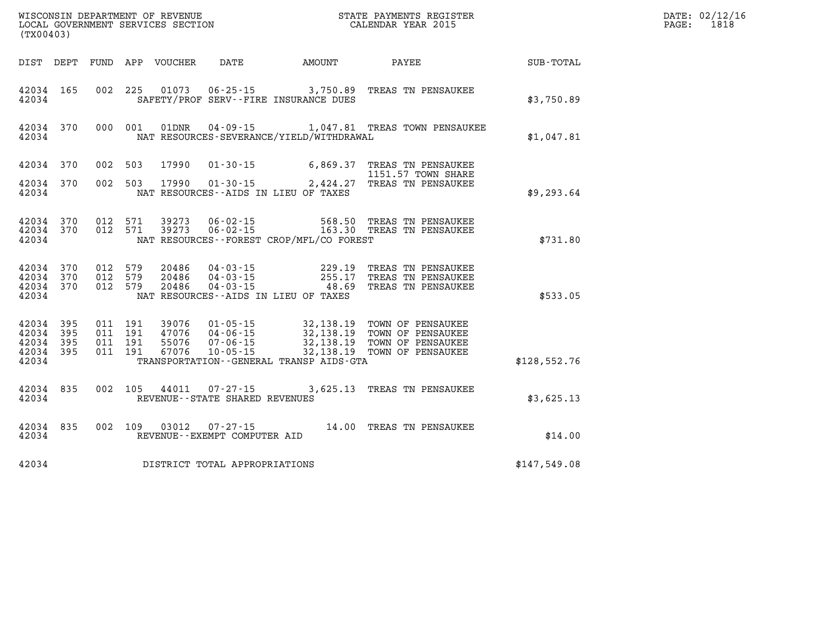| (TX00403)                                             |                        |                                         |         |                         |                                                     |                                          | WISCONSIN DEPARTMENT OF REVENUE<br>LOCAL GOVERNMENT SERVICES SECTION<br>(TYO0403)                             |              | DATE: 02/12/16<br>$\mathtt{PAGE}$ :<br>1818 |
|-------------------------------------------------------|------------------------|-----------------------------------------|---------|-------------------------|-----------------------------------------------------|------------------------------------------|---------------------------------------------------------------------------------------------------------------|--------------|---------------------------------------------|
| DIST DEPT                                             |                        |                                         |         | FUND APP VOUCHER        |                                                     |                                          | DATE AMOUNT PAYEE                                                                                             | SUB-TOTAL    |                                             |
| 42034 165<br>42034                                    |                        |                                         |         |                         |                                                     | SAFETY/PROF SERV--FIRE INSURANCE DUES    | 002 225 01073 06-25-15 3,750.89 TREAS TN PENSAUKEE                                                            | \$3,750.89   |                                             |
| 42034                                                 | 42034 370              |                                         | 000 001 |                         |                                                     | NAT RESOURCES-SEVERANCE/YIELD/WITHDRAWAL | 01DNR  04-09-15   1,047.81 TREAS TOWN PENSAUKEE                                                               | \$1,047.81   |                                             |
| 42034 370                                             |                        | 002 503                                 |         | 17990                   |                                                     |                                          | 01-30-15 6,869.37 TREAS TN PENSAUKEE<br>1151.57 TOWN SHARE                                                    |              |                                             |
| 42034 370<br>42034                                    |                        | 002 503                                 |         |                         |                                                     | NAT RESOURCES--AIDS IN LIEU OF TAXES     |                                                                                                               | \$9,293.64   |                                             |
| 42034                                                 | 42034 370<br>42034 370 |                                         | 012 571 | 39273<br>012 571 39273  |                                                     | NAT RESOURCES--FOREST CROP/MFL/CO FOREST | 06-02-15 568.50 TREAS TN PENSAUKEE<br>06-02-15 163.30 TREAS TN PENSAUKEE                                      | \$731.80     |                                             |
| 42034                                                 | 42034 370<br>42034 370 | 42034 370 012 579<br>012 579<br>012 579 |         | 20486<br>20486<br>20486 |                                                     | NAT RESOURCES--AIDS IN LIEU OF TAXES     | 04-03-15 229.19 TREAS TN PENSAUKEE<br>04-03-15 255.17 TREAS TN PENSAUKEE<br>04-03-15 48.69 TREAS TN PENSAUKEE | \$533.05     |                                             |
| 42034 395<br>42034<br>42034 395<br>42034 395<br>42034 | 395                    |                                         |         |                         |                                                     | TRANSPORTATION--GENERAL TRANSP AIDS-GTA  |                                                                                                               | \$128,552.76 |                                             |
| 42034 835<br>42034                                    |                        |                                         | 002 105 |                         | 44011 07-27-15<br>REVENUE - - STATE SHARED REVENUES |                                          | 3,625.13 TREAS TN PENSAUKEE                                                                                   | \$3,625.13   |                                             |
| 42034                                                 | 42034 835              |                                         | 002 109 | 03012                   | 07-27-15<br>REVENUE--EXEMPT COMPUTER AID            |                                          | 14.00 TREAS TN PENSAUKEE                                                                                      | \$14.00      |                                             |
| 42034                                                 |                        |                                         |         |                         | DISTRICT TOTAL APPROPRIATIONS                       |                                          |                                                                                                               | \$147,549.08 |                                             |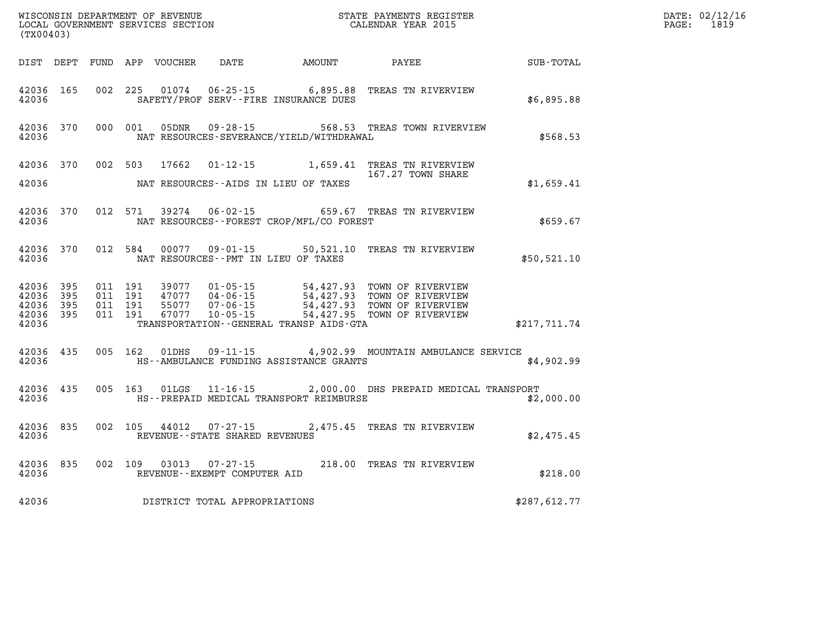| (TX00403)                       |                        |  |  |                         |                                                                        |                                                |                                                                                                                                                                                                                      | $\mathbb{R}^n$   | DATE: 02/12/16<br>$\mathtt{PAGE:}$<br>1819 |
|---------------------------------|------------------------|--|--|-------------------------|------------------------------------------------------------------------|------------------------------------------------|----------------------------------------------------------------------------------------------------------------------------------------------------------------------------------------------------------------------|------------------|--------------------------------------------|
|                                 |                        |  |  |                         |                                                                        | DIST DEPT FUND APP VOUCHER DATE AMOUNT PAYEE   |                                                                                                                                                                                                                      | <b>SUB-TOTAL</b> |                                            |
| 42036                           | 42036 165              |  |  |                         |                                                                        | SAFETY/PROF SERV--FIRE INSURANCE DUES          | 002 225 01074 06-25-15 6,895.88 TREAS TN RIVERVIEW                                                                                                                                                                   | \$6,895.88       |                                            |
| 42036                           |                        |  |  | 42036 370 000 001 05DNR |                                                                        | NAT RESOURCES-SEVERANCE/YIELD/WITHDRAWAL       | 09-28-15 568.53 TREAS TOWN RIVERVIEW                                                                                                                                                                                 | \$568.53         |                                            |
| 42036                           |                        |  |  |                         |                                                                        | NAT RESOURCES--AIDS IN LIEU OF TAXES           | 42036 370 002 503 17662 01-12-15 1,659.41 TREAS TN RIVERVIEW<br>167.27 TOWN SHARE                                                                                                                                    | \$1,659.41       |                                            |
|                                 |                        |  |  |                         |                                                                        | 42036 MAT RESOURCES--FOREST CROP/MFL/CO FOREST | 42036 370 012 571 39274 06-02-15 659.67 TREAS TN RIVERVIEW                                                                                                                                                           | \$659.67         |                                            |
| 42036                           |                        |  |  |                         |                                                                        | NAT RESOURCES--PMT IN LIEU OF TAXES            | 42036 370 012 584 00077 09-01-15 50,521.10 TREAS TN RIVERVIEW                                                                                                                                                        | \$50,521.10      |                                            |
| 42036 395<br>42036 395<br>42036 | 42036 395<br>42036 395 |  |  |                         |                                                                        | TRANSPORTATION--GENERAL TRANSP AIDS-GTA        | 011 191 39077 01-05-15 54,427.93 TOWN OF RIVERVIEW<br>011 191 47077 04-06-15 54,427.93 TOWN OF RIVERVIEW<br>011 191 55077 07-06-15 54,427.93 TOWN OF RIVERVIEW<br>011 191 67077 10-05-15 54,427.95 TOWN OF RIVERVIEW | \$217,711.74     |                                            |
| 42036                           | 42036 435              |  |  | 005 162 01DHS           |                                                                        | HS--AMBULANCE FUNDING ASSISTANCE GRANTS        | 09-11-15 4,902.99 MOUNTAIN AMBULANCE SERVICE                                                                                                                                                                         | \$4,902.99       |                                            |
| 42036                           | 42036 435              |  |  |                         |                                                                        | HS--PREPAID MEDICAL TRANSPORT REIMBURSE        | 005 163 01LGS 11-16-15 2,000.00 DHS PREPAID MEDICAL TRANSPORT                                                                                                                                                        | \$2,000.00       |                                            |
|                                 | 42036 835              |  |  |                         | 42036 REVENUE - STATE SHARED REVENUES                                  |                                                | 002 105 44012 07-27-15 2,475.45 TREAS TN RIVERVIEW                                                                                                                                                                   | \$2,475.45       |                                            |
|                                 |                        |  |  |                         | 42036 835 002 109 03013 07-27-15<br>42036 REVENUE--EXEMPT COMPUTER AID |                                                | 218.00 TREAS TN RIVERVIEW                                                                                                                                                                                            | \$218.00         |                                            |
| 42036                           |                        |  |  |                         | DISTRICT TOTAL APPROPRIATIONS                                          |                                                |                                                                                                                                                                                                                      | \$287,612.77     |                                            |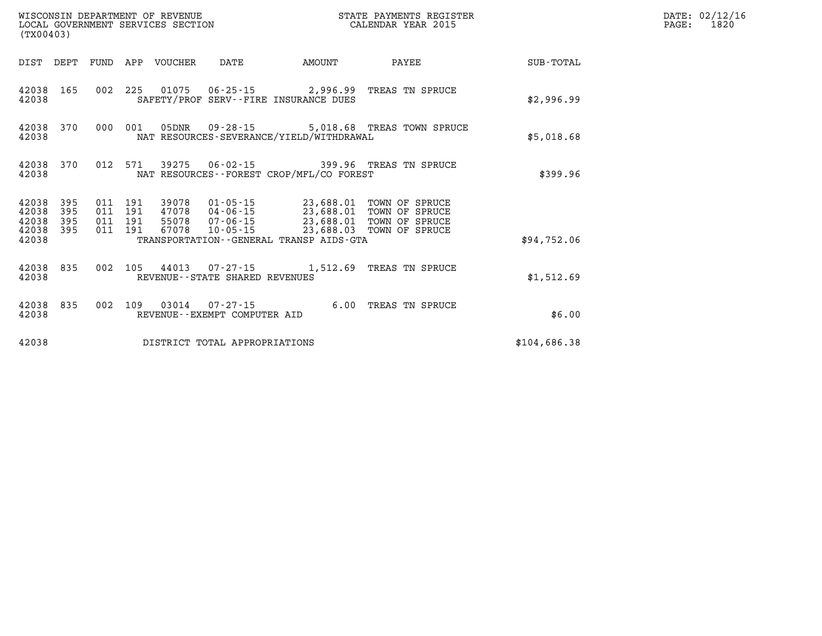| WISCONSIN DEPARTMENT OF REVENUE<br>LOCAL GOVERNMENT SERVICES SECTION<br>(TX00403) |                   |                                          |  |                            |                                |                                          | STATE PAYMENTS REGISTER<br>CALENDAR YEAR 2015                                                                                                                               |              | DATE: 02/12/16<br>1820<br>$\mathtt{PAGE:}$ |
|-----------------------------------------------------------------------------------|-------------------|------------------------------------------|--|----------------------------|--------------------------------|------------------------------------------|-----------------------------------------------------------------------------------------------------------------------------------------------------------------------------|--------------|--------------------------------------------|
|                                                                                   |                   |                                          |  | DIST DEPT FUND APP VOUCHER | DATE                           | AMOUNT                                   | PAYEE                                                                                                                                                                       | SUB-TOTAL    |                                            |
| 42038 165<br>42038                                                                |                   |                                          |  |                            |                                | SAFETY/PROF SERV--FIRE INSURANCE DUES    | 002 225 01075 06-25-15 2,996.99 TREAS TN SPRUCE                                                                                                                             | \$2,996.99   |                                            |
| 42038 370<br>42038                                                                |                   | 000 001                                  |  |                            |                                | NAT RESOURCES-SEVERANCE/YIELD/WITHDRAWAL | 5,018.68 TREAS TOWN SPRUCE                                                                                                                                                  | \$5,018.68   |                                            |
| 42038 370<br>42038                                                                |                   |                                          |  |                            |                                | NAT RESOURCES--FOREST CROP/MFL/CO FOREST | 012 571 39275 06-02-15 399.96 TREAS TN SPRUCE                                                                                                                               | \$399.96     |                                            |
| 42038<br>42038<br>42038<br>42038 395                                              | 395<br>395<br>395 | 011 191<br>011 191<br>011 191<br>011 191 |  |                            |                                |                                          | 39078  01-05-15  23,688.01  TOWN OF SPRUCE<br>47078 04-06-15 23,688.01 TOWN OF SPRUCE<br>55078 07-06-15 23,688.01 TOWN OF SPRUCE<br>67078 10-05-15 23,688.03 TOWN OF SPRUCE |              |                                            |
| 42038                                                                             |                   |                                          |  |                            |                                | TRANSPORTATION--GENERAL TRANSP AIDS-GTA  |                                                                                                                                                                             | \$94,752.06  |                                            |
| 42038 835<br>42038                                                                |                   | 002                                      |  |                            | REVENUE--STATE SHARED REVENUES |                                          | 105 44013 07-27-15 1,512.69 TREAS TN SPRUCE                                                                                                                                 | \$1,512.69   |                                            |
| 42038 835<br>42038                                                                |                   | 002 109                                  |  |                            | REVENUE--EXEMPT COMPUTER AID   |                                          | 03014  07-27-15  6.00 TREAS TN SPRUCE                                                                                                                                       | \$6.00       |                                            |
| 42038                                                                             |                   |                                          |  |                            | DISTRICT TOTAL APPROPRIATIONS  |                                          |                                                                                                                                                                             | \$104,686.38 |                                            |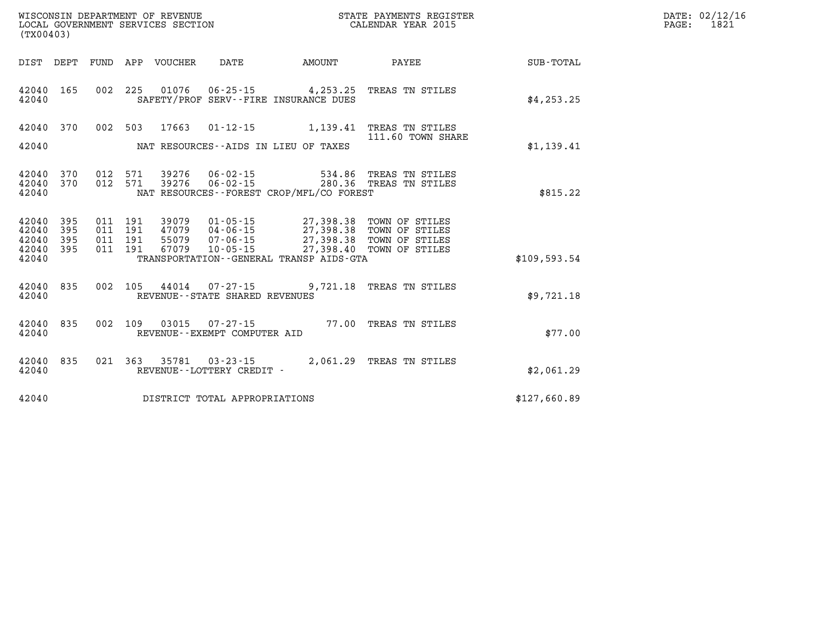| WISCONSIN DEPARTMENT OF REVENUE<br>LOCAL GOVERNMENT SERVICES SECTION<br>CALENDAR YEAR 2015<br>(TX00403)                                                                                                                                                                                                                                                                                                      | STATE PAYMENTS REGISTER |              | DATE: 02/12/16<br>PAGE: 1821 |
|--------------------------------------------------------------------------------------------------------------------------------------------------------------------------------------------------------------------------------------------------------------------------------------------------------------------------------------------------------------------------------------------------------------|-------------------------|--------------|------------------------------|
| DIST DEPT FUND APP VOUCHER DATE AMOUNT                                                                                                                                                                                                                                                                                                                                                                       | <b>PAYEE</b>            | SUB-TOTAL    |                              |
| 002 225 01076 06-25-15 4,253.25 TREAS TN STILES<br>42040 165<br>42040<br>SAFETY/PROF SERV--FIRE INSURANCE DUES                                                                                                                                                                                                                                                                                               |                         | \$4, 253.25  |                              |
| 42040 370<br>002 503 17663 01-12-15 1,139.41 TREAS TN STILES                                                                                                                                                                                                                                                                                                                                                 | 111.60 TOWN SHARE       |              |                              |
| NAT RESOURCES--AIDS IN LIEU OF TAXES<br>42040                                                                                                                                                                                                                                                                                                                                                                |                         | \$1,139.41   |                              |
| 012 571 39276 06-02-15 534.86 TREAS TN STILES<br>012 571 39276 06-02-15 280.36 TREAS TN STILES<br>42040 370<br>42040 370<br>42040<br>NAT RESOURCES - - FOREST CROP/MFL/CO FOREST                                                                                                                                                                                                                             |                         | \$815.22     |                              |
| $\begin{array}{cccc} 011 & 191 & 39079 & 01\cdot 05\cdot 15 & 27,398.38 & \text{TOWN OF STILES} \\ 011 & 191 & 47079 & 04\cdot 06\cdot 15 & 27,398.38 & \text{TOWN OF STILES} \\ 011 & 191 & 55079 & 07\cdot 06\cdot 15 & 27,398.38 & \text{TOWN OF STILES} \\ 011 & 191 & 67079 & 10\cdot 05\cdot 15 & 27,398.40 & \text{TOWN OF STILES} \\ \end{array$<br>42040 395<br>42040 395<br>42040 395<br>42040 395 |                         |              |                              |
| TRANSPORTATION--GENERAL TRANSP AIDS-GTA<br>42040                                                                                                                                                                                                                                                                                                                                                             |                         | \$109,593.54 |                              |
| 42040 835<br>002 105 44014 07-27-15 9,721.18 TREAS TN STILES<br>42040<br>REVENUE--STATE SHARED REVENUES                                                                                                                                                                                                                                                                                                      |                         | \$9,721.18   |                              |
| 002 109 03015 07-27-15 77.00 TREAS TN STILES<br>42040 835<br>42040<br>REVENUE--EXEMPT COMPUTER AID                                                                                                                                                                                                                                                                                                           |                         | \$77.00      |                              |
| 42040 835<br>021 363 35781 03-23-15 2,061.29 TREAS TN STILES<br>42040<br>REVENUE--LOTTERY CREDIT -                                                                                                                                                                                                                                                                                                           |                         | \$2,061.29   |                              |
| DISTRICT TOTAL APPROPRIATIONS<br>42040                                                                                                                                                                                                                                                                                                                                                                       |                         | \$127,660.89 |                              |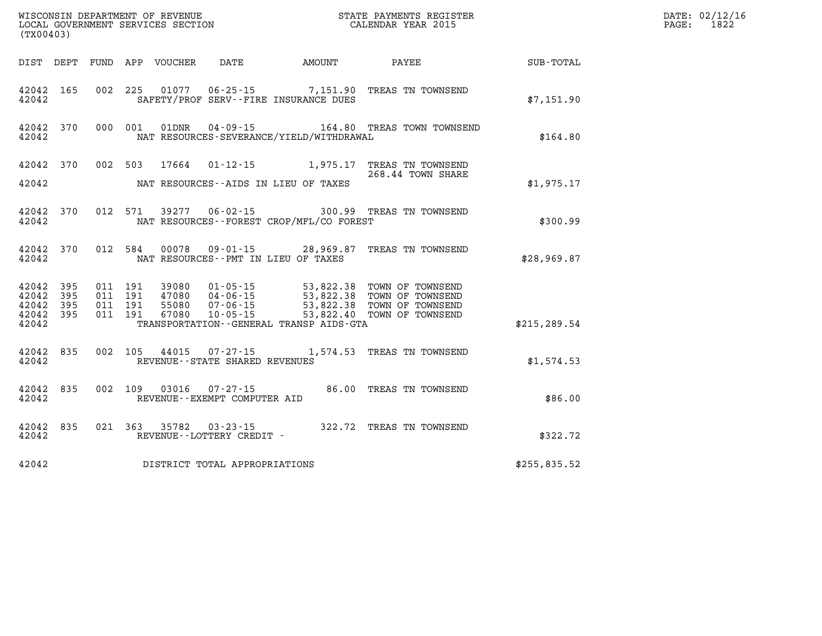| CONDIN DEFARTMENT OF REVENUE<br>LOCAL GOVERNMENT SERVICES SECTION<br>(TX00403) |                   |  |         |                  |                                                |                                          | STATE PAYMENTS REGISTER<br>CALENDAR YEAR 2015                                                                                                                                                                                                                                                                                          |               | DATE: 02/12/16<br>$\mathtt{PAGE:}$<br>1822 |
|--------------------------------------------------------------------------------|-------------------|--|---------|------------------|------------------------------------------------|------------------------------------------|----------------------------------------------------------------------------------------------------------------------------------------------------------------------------------------------------------------------------------------------------------------------------------------------------------------------------------------|---------------|--------------------------------------------|
| DIST DEPT                                                                      |                   |  |         | FUND APP VOUCHER |                                                |                                          | DATE AMOUNT PAYEE                                                                                                                                                                                                                                                                                                                      | SUB-TOTAL     |                                            |
| 42042 165<br>42042                                                             |                   |  |         |                  | SAFETY/PROF SERV--FIRE INSURANCE DUES          |                                          | 002 225 01077 06-25-15 7,151.90 TREAS TN TOWNSEND                                                                                                                                                                                                                                                                                      | \$7,151.90    |                                            |
| 42042 370<br>42042                                                             |                   |  | 000 001 | 01DNR            |                                                | NAT RESOURCES-SEVERANCE/YIELD/WITHDRAWAL | 04-09-15    164.80    TREAS TOWN TOWNSEND                                                                                                                                                                                                                                                                                              | \$164.80      |                                            |
| 42042                                                                          |                   |  |         |                  | NAT RESOURCES--AIDS IN LIEU OF TAXES           |                                          | 42042 370 002 503 17664 01-12-15 1,975.17 TREAS TN TOWNSEND<br>268.44 TOWN SHARE                                                                                                                                                                                                                                                       | \$1,975.17    |                                            |
| 42042 370<br>42042                                                             |                   |  | 012 571 |                  |                                                | NAT RESOURCES--FOREST CROP/MFL/CO FOREST | 39277  06-02-15  300.99  TREAS TN TOWNSEND                                                                                                                                                                                                                                                                                             | \$300.99      |                                            |
| 42042 370<br>42042                                                             |                   |  | 012 584 |                  | NAT RESOURCES -- PMT IN LIEU OF TAXES          |                                          | 00078  09-01-15  28,969.87  TREAS TN TOWNSEND                                                                                                                                                                                                                                                                                          | \$28,969.87   |                                            |
| 42042<br>42042<br>42042<br>42042 395<br>42042                                  | 395<br>395<br>395 |  |         |                  |                                                | TRANSPORTATION--GENERAL TRANSP AIDS-GTA  | $\begin{array}{cccc} 011 & 191 & 39080 & 01\cdot 05\cdot 15 & 53\, ,\, 822\, .\, 38 & \text{TOWN OF TOWNSEND} \\ 011 & 191 & 47080 & 04\cdot 06\cdot 15 & 53\, ,\, 822\, .\, 38 & \text{TOWN OF TOWNSEND} \\ 011 & 191 & 55080 & 07\cdot 06\cdot 15 & 53\, ,\, 822\, .\, 38 & \text{TOWN OF TOWNSEND} \\ 011 & 191 & 67080 & 10\cdot $ | \$215, 289.54 |                                            |
| 42042 835<br>42042                                                             |                   |  |         |                  | REVENUE - - STATE SHARED REVENUES              |                                          | 002 105 44015 07-27-15 1,574.53 TREAS TN TOWNSEND                                                                                                                                                                                                                                                                                      | \$1,574.53    |                                            |
| 42042 835<br>42042                                                             |                   |  | 002 109 |                  | 03016 07-27-15<br>REVENUE--EXEMPT COMPUTER AID |                                          | 86.00 TREAS TN TOWNSEND                                                                                                                                                                                                                                                                                                                | \$86.00       |                                            |
| 42042 835<br>42042                                                             |                   |  |         | 021 363 35782    | REVENUE--LOTTERY CREDIT -                      |                                          | 03-23-15 322.72 TREAS TN TOWNSEND                                                                                                                                                                                                                                                                                                      | \$322.72      |                                            |
| 42042                                                                          |                   |  |         |                  | DISTRICT TOTAL APPROPRIATIONS                  |                                          |                                                                                                                                                                                                                                                                                                                                        | \$255,835.52  |                                            |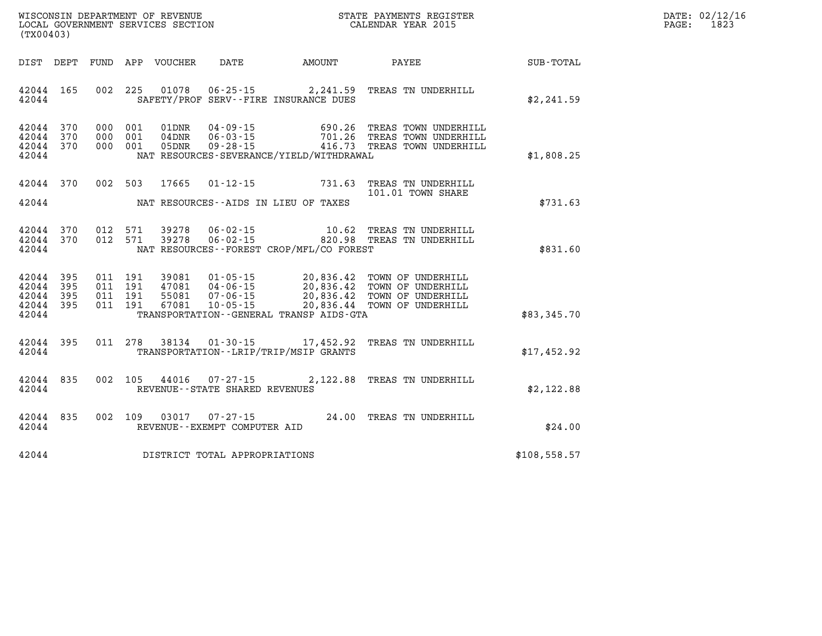| $\mathtt{DATE}$ : | 02/12/16 |
|-------------------|----------|
| $\mathtt{PAGE}$ : | 1823     |

| WISCONSIN DEPARTMENT OF REVENUE<br>LOCAL GOVERNMENT SERVICES SECTION<br>(TX00403)                 |                                                                                                                                                                                      | STATE PAYMENTS REGISTER<br>CALENDAR YEAR 2015 |                                                                                                      |                  |  |
|---------------------------------------------------------------------------------------------------|--------------------------------------------------------------------------------------------------------------------------------------------------------------------------------------|-----------------------------------------------|------------------------------------------------------------------------------------------------------|------------------|--|
| DIST<br>DEPT<br>FUND                                                                              | APP<br>VOUCHER<br>DATE                                                                                                                                                               | <b>AMOUNT</b>                                 | PAYEE                                                                                                | <b>SUB-TOTAL</b> |  |
| 002<br>42044<br>165<br>42044                                                                      | 225<br>01078<br>$06 - 25 - 15$<br>SAFETY/PROF SERV--FIRE INSURANCE DUES                                                                                                              | 2,241.59                                      | TREAS TN UNDERHILL                                                                                   | \$2,241.59       |  |
| 370<br>42044<br>000<br>370<br>000<br>42044<br>42044<br>370<br>000<br>42044                        | 001<br>01DNR<br>$04 - 09 - 15$<br>001<br>$04$ DNR<br>$06 - 03 - 15$<br>$09 - 28 - 15$<br>001<br>05DNR<br>NAT RESOURCES-SEVERANCE/YIELD/WITHDRAWAL                                    | 690.26<br>701.26                              | TREAS TOWN UNDERHILL<br>TREAS TOWN UNDERHILL<br>416.73 TREAS TOWN UNDERHILL                          | \$1,808.25       |  |
| 370<br>002<br>42044<br>42044                                                                      | 503<br>17665<br>$01 - 12 - 15$<br>NAT RESOURCES -- AIDS IN LIEU OF TAXES                                                                                                             | 731.63                                        | TREAS TN UNDERHILL<br>101.01 TOWN SHARE                                                              | \$731.63         |  |
| 012<br>42044<br>370<br>012<br>42044<br>370<br>42044                                               | $06 - 02 - 15$<br>571<br>39278<br>571<br>39278<br>$06 - 02 - 15$<br>NAT RESOURCES - - FOREST CROP/MFL/CO FOREST                                                                      | 10.62<br>820.98                               | TREAS TN UNDERHILL<br>TREAS TN UNDERHILL                                                             | \$831.60         |  |
| 42044<br>395<br>011<br>011<br>42044<br>395<br>42044<br>395<br>011<br>42044<br>011<br>395<br>42044 | 191<br>39081<br>$01 - 05 - 15$<br>191<br>$04 - 06 - 15$<br>47081<br>191<br>55081<br>$07 - 06 - 15$<br>$10 - 05 - 15$<br>191<br>67081<br>TRANSPORTATION - - GENERAL TRANSP AIDS - GTA | 20,836.42<br>20,836.44                        | 20,836.42 TOWN OF UNDERHILL<br>20,836.42 TOWN OF UNDERHILL<br>TOWN OF UNDERHILL<br>TOWN OF UNDERHILL | \$83,345.70      |  |
| 395<br>011<br>42044<br>42044                                                                      | 278<br>38134<br>$01 - 30 - 15$<br>TRANSPORTATION - - LRIP/TRIP/MSIP GRANTS                                                                                                           | 17,452.92                                     | TREAS TN UNDERHILL                                                                                   | \$17,452.92      |  |
| 002<br>42044<br>835<br>42044                                                                      | 105<br>44016<br>$07 - 27 - 15$<br>REVENUE - - STATE SHARED REVENUES                                                                                                                  | 2,122.88                                      | TREAS TN UNDERHILL                                                                                   | \$2,122.88       |  |
| 835<br>002<br>42044<br>42044                                                                      | 109<br>03017<br>$07 - 27 - 15$<br>REVENUE--EXEMPT COMPUTER AID                                                                                                                       | 24.00                                         | TREAS TN UNDERHILL                                                                                   | \$24.00          |  |
| 42044                                                                                             | DISTRICT TOTAL APPROPRIATIONS                                                                                                                                                        |                                               |                                                                                                      | \$108,558.57     |  |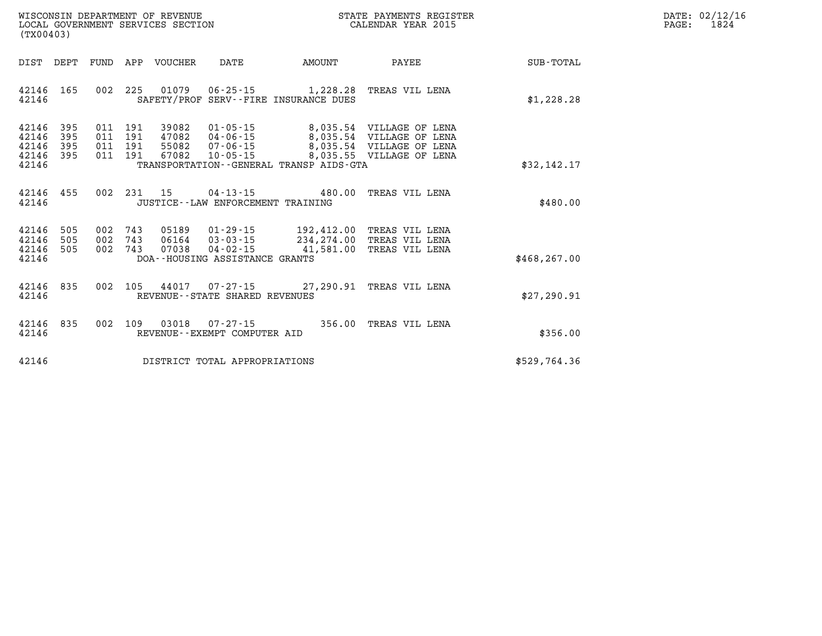| $\mathtt{DATE}$ : | 02/12/16 |
|-------------------|----------|
| PAGE:             | 1824     |

| (TX00403)                                                             |                                                                                          |                                                                                                                                  |                                                                                                           |                  |
|-----------------------------------------------------------------------|------------------------------------------------------------------------------------------|----------------------------------------------------------------------------------------------------------------------------------|-----------------------------------------------------------------------------------------------------------|------------------|
| DIST<br>DEPT                                                          | FUND<br>APP<br>VOUCHER                                                                   | DATE<br>AMOUNT                                                                                                                   | PAYEE                                                                                                     | <b>SUB-TOTAL</b> |
| 165<br>42146<br>42146                                                 | 002<br>225<br>01079                                                                      | $06 - 25 - 15$ 1, 228.28<br>SAFETY/PROF SERV--FIRE INSURANCE DUES                                                                | TREAS VIL LENA                                                                                            | \$1,228.28       |
| 42146<br>395<br>42146<br>395<br>42146<br>395<br>42146<br>395<br>42146 | 191<br>39082<br>011<br>011<br>191<br>47082<br>191<br>011<br>55082<br>011<br>191<br>67082 | $01 - 05 - 15$<br>$04 - 06 - 15$<br>8,035.54<br>$07 - 06 - 15$<br>$10 - 05 - 15$<br>TRANSPORTATION - - GENERAL TRANSP AIDS - GTA | 8,035.54 VILLAGE OF LENA<br>VILLAGE OF LENA<br>8,035.54<br>VILLAGE OF LENA<br>8,035.55<br>VILLAGE OF LENA | \$32,142.17      |
| 455<br>42146<br>42146                                                 | 002<br>231<br>15                                                                         | $04 - 13 - 15$<br>JUSTICE - - LAW ENFORCEMENT TRAINING                                                                           | 480.00<br>TREAS VIL LENA                                                                                  | \$480.00         |
| 42146<br>505<br>505<br>42146<br>42146<br>505<br>42146                 | 002<br>743<br>05189<br>743<br>002<br>06164<br>002<br>743<br>07038                        | $01 - 29 - 15$<br>$03 - 03 - 15$<br>$04 - 02 - 15$<br>41,581.00<br>DOA--HOUSING ASSISTANCE GRANTS                                | 192,412.00 TREAS VIL LENA<br>234, 274.00 TREAS VIL LENA<br>TREAS VIL LENA                                 | \$468, 267.00    |
| 835<br>42146<br>42146                                                 | 002<br>105                                                                               | 44017 07-27-15 27,290.91<br>REVENUE - - STATE SHARED REVENUES                                                                    | TREAS VIL LENA                                                                                            | \$27,290.91      |
| 42146<br>835<br>42146                                                 | 002<br>109<br>03018                                                                      | $07 - 27 - 15$<br>REVENUE - - EXEMPT COMPUTER AID                                                                                | 356.00<br>TREAS VIL LENA                                                                                  | \$356.00         |
| 42146                                                                 |                                                                                          | DISTRICT TOTAL APPROPRIATIONS                                                                                                    |                                                                                                           | \$529,764.36     |

WISCONSIN DEPARTMENT OF REVENUE **STATE PAYMENTS REGISTER**<br>LOCAL GOVERNMENT SERVICES SECTION

LOCAL GOVERNMENT SERVICES SECTION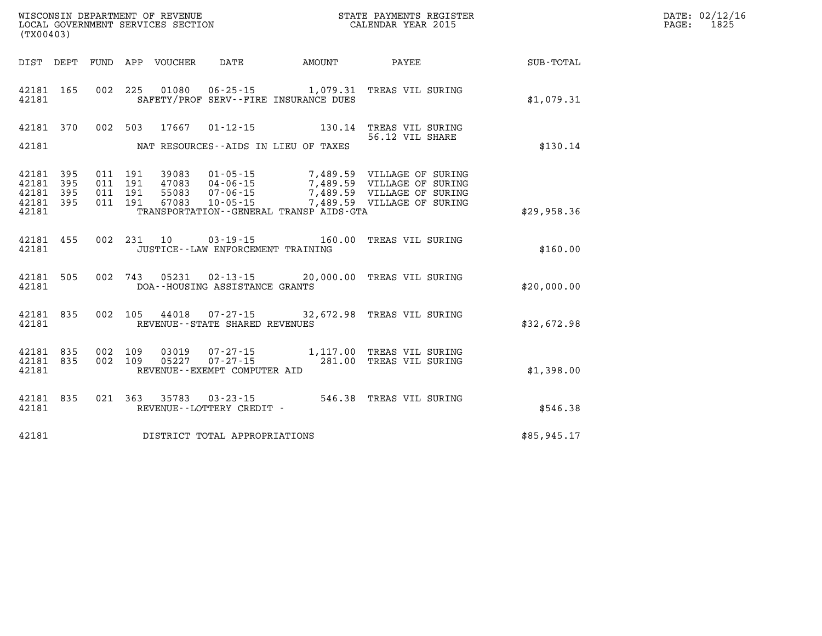| WISCONSIN DEPARTMENT OF REVENUE   | PAYMENTS REGISTER ?<br>STATE | $\mathtt{DATE}$ : | 02/12/16 |
|-----------------------------------|------------------------------|-------------------|----------|
| LOCAL GOVERNMENT SERVICES SECTION | CALENDAR YEAR 2015           | PAGE.             | 1825     |

| (TX00403)                                 |                          |                          |                          |                                  |                                                                      |                                         |                                                                                                                      |             |
|-------------------------------------------|--------------------------|--------------------------|--------------------------|----------------------------------|----------------------------------------------------------------------|-----------------------------------------|----------------------------------------------------------------------------------------------------------------------|-------------|
| DIST DEPT                                 |                          | FUND                     |                          | APP VOUCHER DATE                 |                                                                      | AMOUNT                                  | <b>PAYEE</b>                                                                                                         | SUB-TOTAL   |
| 42181<br>42181                            | 165                      | 002                      | 225                      |                                  |                                                                      | SAFETY/PROF SERV--FIRE INSURANCE DUES   | 01080  06-25-15  1,079.31  TREAS VIL SURING                                                                          | \$1,079.31  |
| 42181<br>42181                            | 370                      |                          | 002 503                  |                                  | 17667 01-12-15                                                       | NAT RESOURCES--AIDS IN LIEU OF TAXES    | 130.14 TREAS VIL SURING<br>56.12 VIL SHARE                                                                           | \$130.14    |
|                                           |                          |                          |                          |                                  |                                                                      |                                         |                                                                                                                      |             |
| 42181<br>42181<br>42181<br>42181<br>42181 | 395<br>395<br>395<br>395 | 011<br>011<br>011<br>011 | 191<br>191<br>191<br>191 | 39083<br>47083<br>55083<br>67083 | $01 - 05 - 15$<br>$04 - 06 - 15$<br>$07 - 06 - 15$<br>$10 - 05 - 15$ | TRANSPORTATION--GENERAL TRANSP AIDS-GTA | 7,489.59 VILLAGE OF SURING<br>7,489.59 VILLAGE OF SURING<br>7,489.59 VILLAGE OF SURING<br>7,489.59 VILLAGE OF SURING | \$29,958.36 |
|                                           |                          |                          |                          |                                  |                                                                      |                                         |                                                                                                                      |             |
| 42181<br>42181                            | 455                      | 002                      | 231                      | 10                               | $03 - 19 - 15$<br>JUSTICE - - LAW ENFORCEMENT TRAINING               | 160.00                                  | TREAS VIL SURING                                                                                                     | \$160.00    |
| 42181<br>42181                            | 505                      | 002                      | 743                      |                                  | DOA--HOUSING ASSISTANCE GRANTS                                       |                                         | 05231  02-13-15  20,000.00 TREAS VIL SURING                                                                          | \$20,000.00 |
| 42181<br>42181                            | 835                      | 002                      | 105                      |                                  | 44018 07-27-15<br>REVENUE - - STATE SHARED REVENUES                  |                                         | 32,672.98 TREAS VIL SURING                                                                                           | \$32,672.98 |
| 42181<br>42181<br>42181                   | 835<br>835               | 002<br>002               | 109<br>109               | 03019<br>05227                   | $07 - 27 - 15$<br>REVENUE--EXEMPT COMPUTER AID                       | 281.00                                  | 07-27-15 1,117.00 TREAS VIL SURING<br>TREAS VIL SURING                                                               | \$1,398.00  |
| 42181<br>42181                            | 835                      | 021                      | 363                      | 35783                            | $03 - 23 - 15$<br>REVENUE - - LOTTERY CREDIT -                       |                                         | 546.38 TREAS VIL SURING                                                                                              | \$546.38    |
| 42181                                     |                          |                          |                          |                                  | DISTRICT TOTAL APPROPRIATIONS                                        |                                         |                                                                                                                      | \$85,945.17 |

WISCONSIN DEPARTMENT OF REVENUE **STATE PAYMENTS REGISTER**<br>LOCAL GOVERNMENT SERVICES SECTION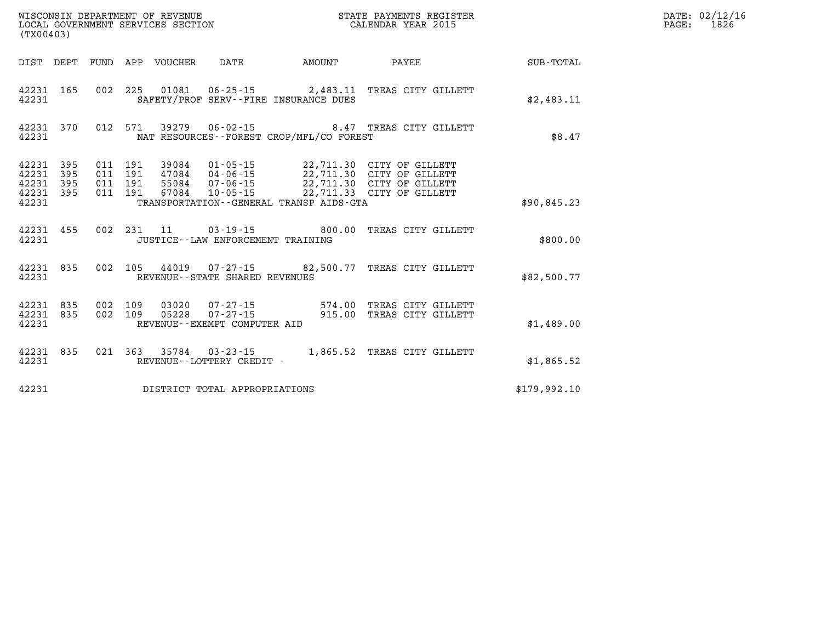| WISCONSIN DEPARTMENT OF REVENUE<br>LOCAL GOVERNMENT SERVICES SECTION<br>(TX00403) |                   |                          |                          |                |                                                    |                                                                  |                                                                                                                  |                  |
|-----------------------------------------------------------------------------------|-------------------|--------------------------|--------------------------|----------------|----------------------------------------------------|------------------------------------------------------------------|------------------------------------------------------------------------------------------------------------------|------------------|
| DIST                                                                              | DEPT              | FUND                     |                          | APP VOUCHER    | DATE                                               | AMOUNT                                                           | PAYEE                                                                                                            | <b>SUB-TOTAL</b> |
| 42231<br>42231                                                                    | 165               | 002                      | 225                      | 01081          |                                                    | $06 - 25 - 15$ 2,483.11<br>SAFETY/PROF SERV--FIRE INSURANCE DUES | TREAS CITY GILLETT                                                                                               | \$2,483.11       |
| 42231<br>42231                                                                    | 370               | 012                      | 571                      |                |                                                    | NAT RESOURCES - - FOREST CROP/MFL/CO FOREST                      | 39279  06-02-15  8.47  TREAS CITY GILLETT                                                                        | \$8.47           |
| 42231<br>42231<br>42231 395<br>42231<br>42231                                     | 395<br>395<br>395 | 011<br>011<br>011<br>011 | 191<br>191<br>191<br>191 | 67084          | 39084 01-05-15<br>55084 07-06-15<br>$10 - 05 - 15$ | TRANSPORTATION--GENERAL TRANSP AIDS-GTA                          | 22,711.30 CITY OF GILLETT<br>22,711.30 CITY OF GILLETT<br>22,711.30 CITY OF GILLETT<br>22,711.33 CITY OF GILLETT | \$90,845.23      |
| 42231<br>42231                                                                    | 455               | 002                      | 231                      | 11             | JUSTICE - - LAW ENFORCEMENT TRAINING               | $03 - 19 - 15$ 800.00                                            | TREAS CITY GILLETT                                                                                               | \$800.00         |
| 42231<br>42231                                                                    | 835               | 002                      | 105                      |                | REVENUE - - STATE SHARED REVENUES                  | 44019 07-27-15 82,500.77                                         | TREAS CITY GILLETT                                                                                               | \$82,500.77      |
| 42231<br>42231<br>42231                                                           | 835<br>835        | 002<br>002               | 109<br>109               | 03020<br>05228 | $07 - 27 - 15$<br>REVENUE--EXEMPT COMPUTER AID     | $07 - 27 - 15$ 574.00<br>915.00                                  | TREAS CITY GILLETT<br>TREAS CITY GILLETT                                                                         | \$1,489.00       |
| 42231<br>42231                                                                    | 835               | 021                      | 363                      | 35784 03-23-15 | REVENUE - - LOTTERY CREDIT -                       | 1,865.52                                                         | TREAS CITY GILLETT                                                                                               | \$1,865.52       |
| 42231                                                                             |                   |                          |                          |                | DISTRICT TOTAL APPROPRIATIONS                      |                                                                  |                                                                                                                  | \$179,992.10     |

**DATE: 02/12/16<br>PAGE: 1826**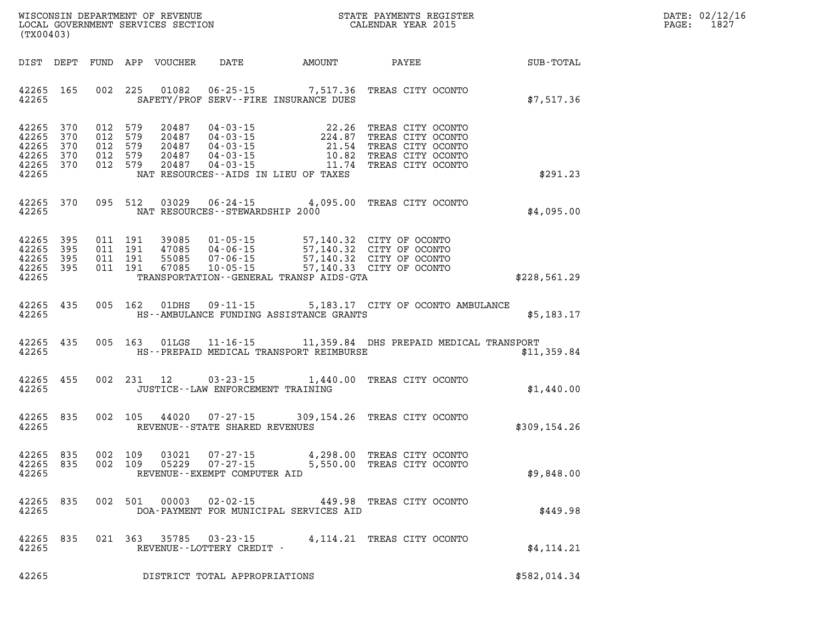| WISCONSIN DEPARTMENT OF REVENUE   | PAYMENTS REGISTER<br>ТТАТЕ | DATE: | 02/12/16 |
|-----------------------------------|----------------------------|-------|----------|
| LOCAL GOVERNMENT SERVICES SECTION | CALENDAR YEAR 2015         | PAGE  | 1827     |

|                                                    | LOCAL GOVERNMENT SERVICES SECTION<br>(TX00403) |  |                                                     |                                           |                                                                                | CALENDAR YEAR 2015                                                                                                                                                                          |                                                                                                                                |              | PAGE: | 1827 |
|----------------------------------------------------|------------------------------------------------|--|-----------------------------------------------------|-------------------------------------------|--------------------------------------------------------------------------------|---------------------------------------------------------------------------------------------------------------------------------------------------------------------------------------------|--------------------------------------------------------------------------------------------------------------------------------|--------------|-------|------|
| DIST DEPT                                          |                                                |  |                                                     | FUND APP VOUCHER                          |                                                                                | DATE AMOUNT PAYEE SUB-TOTAL                                                                                                                                                                 |                                                                                                                                |              |       |      |
| 42265 165<br>42265                                 |                                                |  |                                                     | 002 225 01082                             |                                                                                | 06-25-15 7,517.36 TREAS CITY OCONTO<br>SAFETY/PROF SERV--FIRE INSURANCE DUES                                                                                                                |                                                                                                                                | \$7,517.36   |       |      |
| 42265<br>42265<br>42265<br>42265<br>42265<br>42265 | 370<br>370<br>370<br>370<br>370                |  | 012 579<br>012 579<br>012 579<br>012 579<br>012 579 | 20487<br>20487<br>20487<br>20487<br>20487 | $04 - 03 - 15$<br>04 - 03 - 15<br>04 - 03 - 15<br>04 - 03 - 15<br>04 - 03 - 15 | 11.74<br>NAT RESOURCES--AIDS IN LIEU OF TAXES                                                                                                                                               | 22.26 TREAS CITY OCONTO<br>224.87 TREAS CITY OCONTO<br>21.54 TREAS CITY OCONTO<br>10.82 TREAS CITY OCONTO<br>TREAS CITY OCONTO | \$291.23     |       |      |
| 42265 370<br>42265                                 |                                                |  | 095 512                                             | 03029                                     | NAT RESOURCES - - STEWARDSHIP 2000                                             | 06-24-15 4,095.00 TREAS CITY OCONTO                                                                                                                                                         |                                                                                                                                | \$4,095.00   |       |      |
| 42265<br>42265<br>42265<br>42265<br>42265          | 395<br>395<br>395<br>395                       |  | 011 191<br>011 191<br>011 191<br>011 191            | 39085<br>47085<br>55085<br>67085          |                                                                                | 01-05-15 57,140.32 CITY OF OCONTO<br>04-06-15 57,140.32 CITY OF OCONTO<br>07-06-15 57,140.32 CITY OF OCONTO<br>10-05-15 57,140.33 CITY OF OCONTO<br>TRANSPORTATION--GENERAL TRANSP AIDS-GTA |                                                                                                                                | \$228,561.29 |       |      |
| 42265 435<br>42265                                 |                                                |  | 005 162                                             | 01DHS                                     | $09 - 11 - 15$                                                                 | HS--AMBULANCE FUNDING ASSISTANCE GRANTS                                                                                                                                                     | 5,183.17 CITY OF OCONTO AMBULANCE                                                                                              | \$5,183.17   |       |      |
| 42265 435<br>42265                                 |                                                |  | 005 163                                             | 01LGS                                     |                                                                                | 11-16-15 11,359.84 DHS PREPAID MEDICAL TRANSPORT<br>HS--PREPAID MEDICAL TRANSPORT REIMBURSE                                                                                                 |                                                                                                                                | \$11,359.84  |       |      |
| 42265<br>42265                                     | 455                                            |  | 002 231 12                                          |                                           | $03 - 23 - 15$<br>JUSTICE - - LAW ENFORCEMENT TRAINING                         |                                                                                                                                                                                             | 1,440.00 TREAS CITY OCONTO                                                                                                     | \$1,440.00   |       |      |
| 42265<br>42265                                     | 835                                            |  | 002 105                                             | 44020                                     | $07 - 27 - 15$<br>REVENUE--STATE SHARED REVENUES                               | 309,154.26 TREAS CITY OCONTO                                                                                                                                                                |                                                                                                                                | \$309,154.26 |       |      |
| 42265<br>42265<br>42265                            | 835<br>835                                     |  | 002 109<br>002 109                                  | 03021<br>05229                            | 07-27-15<br>$07 - 27 - 15$<br>REVENUE--EXEMPT COMPUTER AID                     |                                                                                                                                                                                             | 4,298.00 TREAS CITY OCONTO<br>5,550.00 TREAS CITY OCONTO                                                                       | \$9,848.00   |       |      |
| 42265 835<br>42265                                 |                                                |  |                                                     | 002 501 00003                             |                                                                                | 02-02-15 449.98 TREAS CITY OCONTO<br>DOA-PAYMENT FOR MUNICIPAL SERVICES AID                                                                                                                 |                                                                                                                                | \$449.98     |       |      |
| 42265 835<br>42265                                 |                                                |  |                                                     |                                           | 021 363 35785 03-23-15<br>REVENUE--LOTTERY CREDIT -                            |                                                                                                                                                                                             | 4,114.21 TREAS CITY OCONTO                                                                                                     | \$4, 114.21  |       |      |

**42265 DISTRICT TOTAL APPROPRIATIONS \$582,014.34**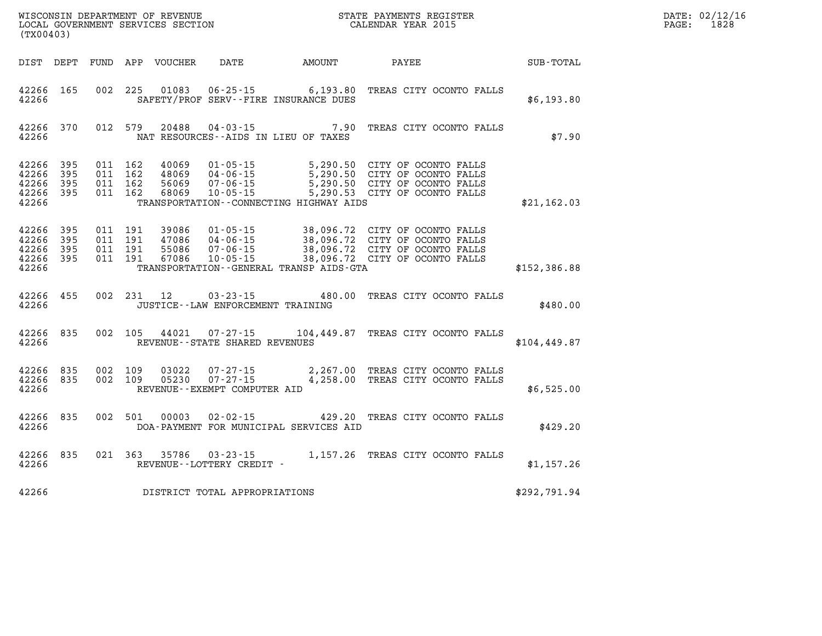|                                                       | STATE PAYMENTS REGISTER<br>CALENDAR YEAR 2015<br>WISCONSIN DEPARTMENT OF REVENUE<br>LOCAL GOVERNMENT SERVICES SECTION<br>(TX00403) |                                          |            |                                  |                                                                     |                                              |                                                                                                                                                                                      |               | DATE: 02/12/16<br>$\mathtt{PAGE:}$<br>1828 |
|-------------------------------------------------------|------------------------------------------------------------------------------------------------------------------------------------|------------------------------------------|------------|----------------------------------|---------------------------------------------------------------------|----------------------------------------------|--------------------------------------------------------------------------------------------------------------------------------------------------------------------------------------|---------------|--------------------------------------------|
|                                                       |                                                                                                                                    |                                          |            | DIST DEPT FUND APP VOUCHER       | DATE AMOUNT                                                         |                                              | <b>PAYEE</b>                                                                                                                                                                         | SUB-TOTAL     |                                            |
| 42266 165<br>42266                                    |                                                                                                                                    |                                          |            | 002 225 01083                    | SAFETY/PROF SERV--FIRE INSURANCE DUES                               |                                              | 06-25-15 6,193.80 TREAS CITY OCONTO FALLS                                                                                                                                            | \$6,193.80    |                                            |
| 42266                                                 | 42266 370                                                                                                                          |                                          | 012 579    | 20488                            | NAT RESOURCES -- AIDS IN LIEU OF TAXES                              |                                              | 04-03-15 7.90 TREAS CITY OCONTO FALLS                                                                                                                                                | \$7.90        |                                            |
| 42266 395<br>42266<br>42266<br>42266 395<br>42266     | 395<br>395                                                                                                                         | 011 162<br>011 162<br>011 162<br>011 162 |            | 40069<br>48069<br>56069<br>68069 | $01 - 05 - 15$<br>04 - 06 - 15<br>07 - 06 - 15<br>$10 - 05 - 15$    | TRANSPORTATION--CONNECTING HIGHWAY AIDS      | 5,290.50 CITY OF OCONTO FALLS<br>5,290.50 CITY OF OCONTO FALLS<br>5,290.50 CITY OF OCONTO FALLS<br>5,290.53 CITY OF OCONTO FALLS                                                     | \$21,162.03   |                                            |
| 42266 395<br>42266<br>42266 395<br>42266 395<br>42266 | 395                                                                                                                                | 011 191<br>011 191<br>011 191<br>011 191 |            | 39086<br>47086<br>55086<br>67086 | 04-06-15                                                            | TRANSPORTATION - - GENERAL TRANSP AIDS - GTA | 01-05-15 38,096.72 CITY OF OCONTO FALLS<br>04-06-15<br>04-06-15 38,096.72 CITY OF OCONTO FALLS<br>07-06-15 38,096.72 CITY OF OCONTO FALLS<br>10-05-15 38,096.72 CITY OF OCONTO FALLS | \$152,386.88  |                                            |
| 42266 455<br>42266                                    |                                                                                                                                    |                                          | 002 231 12 |                                  | JUSTICE - - LAW ENFORCEMENT TRAINING                                |                                              | 03-23-15 480.00 TREAS CITY OCONTO FALLS                                                                                                                                              | \$480.00      |                                            |
| 42266 835<br>42266                                    |                                                                                                                                    |                                          |            | 002 105 44021                    | REVENUE--STATE SHARED REVENUES                                      |                                              | 07-27-15 104,449.87 TREAS CITY OCONTO FALLS                                                                                                                                          | \$104, 449.87 |                                            |
| 42266 835<br>42266 835<br>42266                       |                                                                                                                                    | 002 109<br>002 109                       |            | 03022                            | $07 - 27 - 15$<br>05230 07-27-15<br>REVENUE - - EXEMPT COMPUTER AID |                                              | 2,267.00 TREAS CITY OCONTO FALLS<br>4,258.00 TREAS CITY OCONTO FALLS                                                                                                                 | \$6,525.00    |                                            |
| 42266 835<br>42266                                    |                                                                                                                                    |                                          |            | 002 501 00003                    | 02-02-15                                                            | DOA-PAYMENT FOR MUNICIPAL SERVICES AID       | 429.20 TREAS CITY OCONTO FALLS                                                                                                                                                       | \$429.20      |                                            |
| 42266 835<br>42266                                    |                                                                                                                                    |                                          |            |                                  | REVENUE--LOTTERY CREDIT -                                           |                                              | 021 363 35786 03-23-15 1,157.26 TREAS CITY OCONTO FALLS                                                                                                                              | \$1,157.26    |                                            |
| 42266                                                 |                                                                                                                                    |                                          |            |                                  | DISTRICT TOTAL APPROPRIATIONS                                       |                                              |                                                                                                                                                                                      | \$292,791.94  |                                            |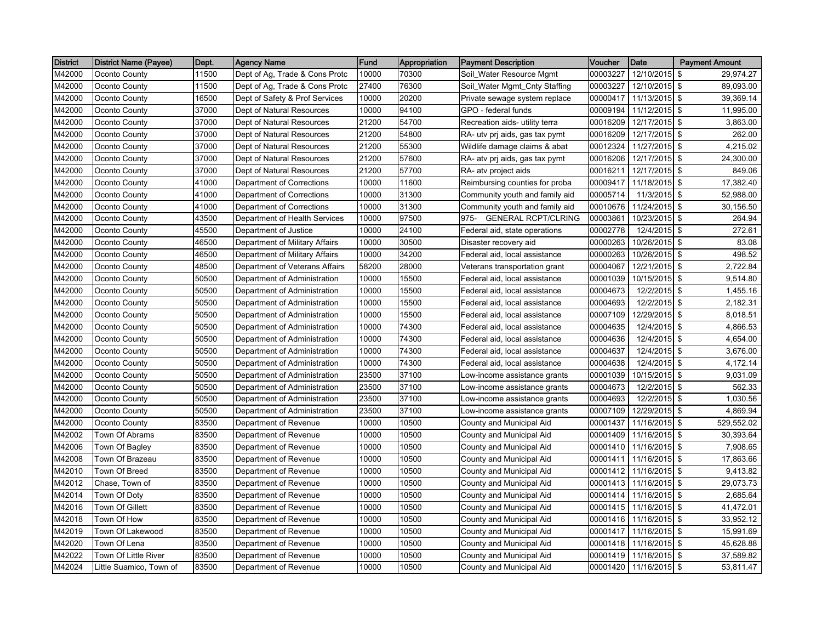| <b>District</b> | <b>District Name (Payee)</b> | Dept. | Agency Name                    | Fund  | Appropriation | <b>Payment Description</b>         | Voucher  | Date            | <b>Payment Amount</b>                |
|-----------------|------------------------------|-------|--------------------------------|-------|---------------|------------------------------------|----------|-----------------|--------------------------------------|
| M42000          | Oconto County                | 11500 | Dept of Ag, Trade & Cons Protc | 10000 | 70300         | Soil_Water Resource Mgmt           | 00003227 | 12/10/2015      | \$<br>29,974.27                      |
| M42000          | Oconto County                | 11500 | Dept of Ag, Trade & Cons Protc | 27400 | 76300         | Soil_Water Mgmt_Cnty Staffing      | 00003227 | 12/10/2015      | \$<br>89,093.00                      |
| M42000          | Oconto County                | 16500 | Dept of Safety & Prof Services | 10000 | 20200         | Private sewage system replace      | 00000417 | 11/13/2015 \$   | 39,369.14                            |
| M42000          | Oconto County                | 37000 | Dept of Natural Resources      | 10000 | 94100         | GPO - federal funds                | 00009194 | 11/12/2015 \$   | 11,995.00                            |
| M42000          | Oconto County                | 37000 | Dept of Natural Resources      | 21200 | 54700         | Recreation aids- utility terra     | 00016209 | 12/17/2015 \$   | 3,863.00                             |
| M42000          | Oconto County                | 37000 | Dept of Natural Resources      | 21200 | 54800         | RA- utv prj aids, gas tax pymt     | 00016209 | 12/17/2015 \$   | 262.00                               |
| M42000          | Oconto County                | 37000 | Dept of Natural Resources      | 21200 | 55300         | Wildlife damage claims & abat      | 00012324 | 11/27/2015 \$   | 4,215.02                             |
| M42000          | Oconto County                | 37000 | Dept of Natural Resources      | 21200 | 57600         | RA- atv prj aids, gas tax pymt     | 00016206 | 12/17/2015 \$   | 24,300.00                            |
| M42000          | Oconto County                | 37000 | Dept of Natural Resources      | 21200 | 57700         | RA- atv project aids               | 00016211 | 12/17/2015 \$   | 849.06                               |
| M42000          | Oconto County                | 41000 | Department of Corrections      | 10000 | 11600         | Reimbursing counties for proba     | 00009417 | 11/18/2015 \$   | 17,382.40                            |
| M42000          | Oconto County                | 41000 | Department of Corrections      | 10000 | 31300         | Community youth and family aid     | 00005714 | 11/3/2015 \$    | 52,988.00                            |
| M42000          | Oconto County                | 41000 | Department of Corrections      | 10000 | 31300         | Community youth and family aid     | 00010676 | 11/24/2015 \$   | 30,156.50                            |
| M42000          | Oconto County                | 43500 | Department of Health Services  | 10000 | 97500         | <b>GENERAL RCPT/CLRING</b><br>975- | 00003861 | 10/23/2015 \$   | 264.94                               |
| M42000          | Oconto County                | 45500 | Department of Justice          | 10000 | 24100         | Federal aid, state operations      | 00002778 | 12/4/2015 \$    | 272.61                               |
| M42000          | Oconto County                | 46500 | Department of Military Affairs | 10000 | 30500         | Disaster recovery aid              | 00000263 | 10/26/2015 \$   | 83.08                                |
| M42000          | Oconto County                | 46500 | Department of Military Affairs | 10000 | 34200         | Federal aid, local assistance      | 00000263 | $10/26/2015$ \$ | 498.52                               |
| M42000          | Oconto County                | 48500 | Department of Veterans Affairs | 58200 | 28000         | Veterans transportation grant      | 00004067 | 12/21/2015 \$   | 2,722.84                             |
| M42000          | Oconto County                | 50500 | Department of Administration   | 10000 | 15500         | Federal aid, local assistance      | 00001039 | 10/15/2015 \$   | 9,514.80                             |
| M42000          | Oconto County                | 50500 | Department of Administration   | 10000 | 15500         | Federal aid, local assistance      | 00004673 | $12/2/2015$ \$  | 1,455.16                             |
| M42000          | Oconto County                | 50500 | Department of Administration   | 10000 | 15500         | Federal aid, local assistance      | 00004693 | 12/2/2015 \$    | 2,182.31                             |
| M42000          | Oconto County                | 50500 | Department of Administration   | 10000 | 15500         | Federal aid, local assistance      | 00007109 | 12/29/2015 \$   | 8,018.51                             |
| M42000          | Oconto County                | 50500 | Department of Administration   | 10000 | 74300         | Federal aid, local assistance      | 00004635 | 12/4/2015 \$    | 4,866.53                             |
| M42000          | Oconto County                | 50500 | Department of Administration   | 10000 | 74300         | Federal aid, local assistance      | 00004636 | 12/4/2015 \$    | 4,654.00                             |
| M42000          | Oconto County                | 50500 | Department of Administration   | 10000 | 74300         | Federal aid, local assistance      | 00004637 | $12/4/2015$ \$  | 3,676.00                             |
| M42000          | Oconto County                | 50500 | Department of Administration   | 10000 | 74300         | Federal aid, local assistance      | 00004638 | 12/4/2015       | \$<br>4,172.14                       |
| M42000          | Oconto County                | 50500 | Department of Administration   | 23500 | 37100         | Low-income assistance grants       | 00001039 | 10/15/2015 \$   | 9,031.09                             |
| M42000          | Oconto County                | 50500 | Department of Administration   | 23500 | 37100         | Low-income assistance grants       | 00004673 | 12/2/2015 \$    | 562.33                               |
| M42000          | Oconto County                | 50500 | Department of Administration   | 23500 | 37100         | Low-income assistance grants       | 00004693 | 12/2/2015 \$    | 1,030.56                             |
| M42000          | Oconto County                | 50500 | Department of Administration   | 23500 | 37100         | Low-income assistance grants       | 00007109 | 12/29/2015 \$   | 4,869.94                             |
| M42000          | Oconto County                | 83500 | Department of Revenue          | 10000 | 10500         | County and Municipal Aid           | 00001437 | 11/16/2015 \$   | 529,552.02                           |
| M42002          | Town Of Abrams               | 83500 | Department of Revenue          | 10000 | 10500         | County and Municipal Aid           | 00001409 | 11/16/2015 \$   | 30,393.64                            |
| M42006          | Town Of Bagley               | 83500 | Department of Revenue          | 10000 | 10500         | County and Municipal Aid           | 00001410 | 11/16/2015 \$   | 7,908.65                             |
| M42008          | Town Of Brazeau              | 83500 | Department of Revenue          | 10000 | 10500         | County and Municipal Aid           | 00001411 | 11/16/2015 \$   | 17,863.66                            |
| M42010          | Town Of Breed                | 83500 | Department of Revenue          | 10000 | 10500         | County and Municipal Aid           | 00001412 | 11/16/2015 \$   | 9,413.82                             |
| M42012          | Chase, Town of               | 83500 | Department of Revenue          | 10000 | 10500         | County and Municipal Aid           | 00001413 | $11/16/2015$ \$ | 29,073.73                            |
| M42014          | Town Of Doty                 | 83500 | Department of Revenue          | 10000 | 10500         | County and Municipal Aid           | 00001414 | 11/16/2015 \$   | 2,685.64                             |
| M42016          | Town Of Gillett              | 83500 | Department of Revenue          | 10000 | 10500         | County and Municipal Aid           | 00001415 | 11/16/2015 \$   | 41,472.01                            |
| M42018          | Town Of How                  | 83500 | Department of Revenue          | 10000 | 10500         | County and Municipal Aid           | 00001416 | 11/16/2015 \$   | 33,952.12                            |
| M42019          | Town Of Lakewood             | 83500 | Department of Revenue          | 10000 | 10500         | County and Municipal Aid           | 00001417 | 11/16/2015 \$   | 15,991.69                            |
| M42020          | Town Of Lena                 | 83500 | Department of Revenue          | 10000 | 10500         | County and Municipal Aid           | 00001418 | 11/16/2015 \$   | 45,628.88                            |
| M42022          | Town Of Little River         | 83500 | Department of Revenue          | 10000 | 10500         | County and Municipal Aid           | 00001419 | 11/16/2015 \$   | 37,589.82                            |
| M42024          | Little Suamico, Town of      | 83500 | Department of Revenue          | 10000 | 10500         | County and Municipal Aid           | 00001420 | 11/16/2015      | $\sqrt[6]{\frac{1}{2}}$<br>53,811.47 |